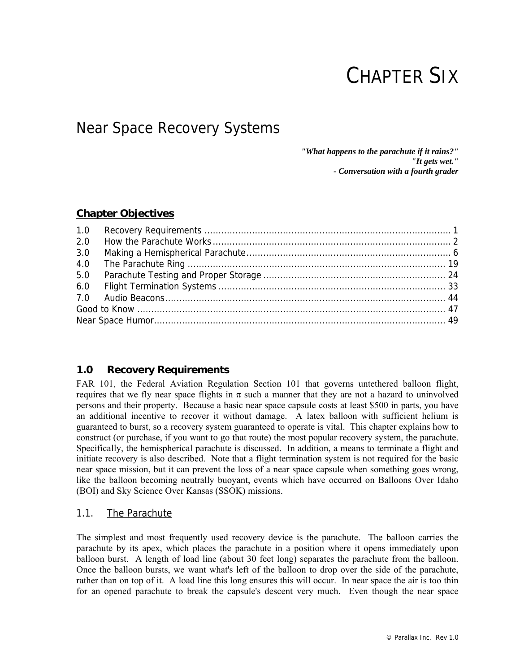# CHAPTER SIX

# Near Space Recovery Systems

*"What happens to the parachute if it rains?" "It gets wet." - Conversation with a fourth grader* 

# **Chapter Objectives**

| 2.0 |  |
|-----|--|
| 3.0 |  |
| 4.0 |  |
| 5.0 |  |
|     |  |
|     |  |
|     |  |
|     |  |

# **1.0 Recovery Requirements**

FAR 101, the Federal Aviation Regulation Section 101 that governs untethered balloon flight, requires that we fly near space flights in  $\pi$  such a manner that they are not a hazard to uninvolved persons and their property. Because a basic near space capsule costs at least \$500 in parts, you have an additional incentive to recover it without damage. A latex balloon with sufficient helium is guaranteed to burst, so a recovery system guaranteed to operate is vital. This chapter explains how to construct (or purchase, if you want to go that route) the most popular recovery system, the parachute. Specifically, the hemispherical parachute is discussed. In addition, a means to terminate a flight and initiate recovery is also described. Note that a flight termination system is not required for the basic near space mission, but it can prevent the loss of a near space capsule when something goes wrong, like the balloon becoming neutrally buoyant, events which have occurred on Balloons Over Idaho (BOI) and Sky Science Over Kansas (SSOK) missions.

# 1.1. The Parachute

The simplest and most frequently used recovery device is the parachute. The balloon carries the parachute by its apex, which places the parachute in a position where it opens immediately upon balloon burst. A length of load line (about 30 feet long) separates the parachute from the balloon. Once the balloon bursts, we want what's left of the balloon to drop over the side of the parachute, rather than on top of it. A load line this long ensures this will occur. In near space the air is too thin for an opened parachute to break the capsule's descent very much. Even though the near space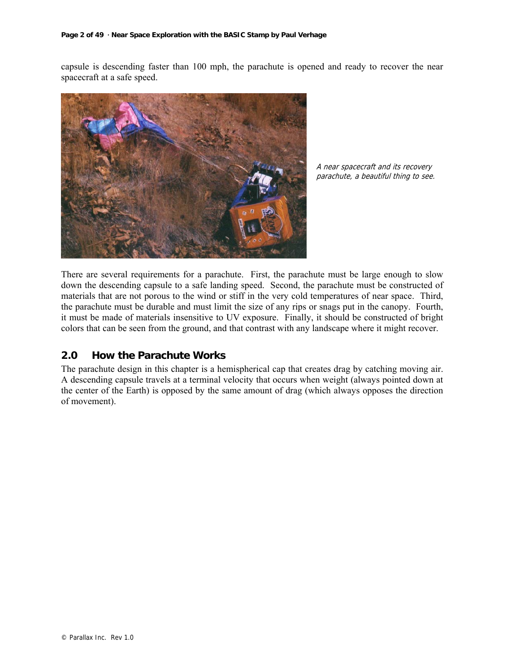capsule is descending faster than 100 mph, the parachute is opened and ready to recover the near spacecraft at a safe speed.



A near spacecraft and its recovery parachute, a beautiful thing to see.

There are several requirements for a parachute. First, the parachute must be large enough to slow down the descending capsule to a safe landing speed. Second, the parachute must be constructed of materials that are not porous to the wind or stiff in the very cold temperatures of near space. Third, the parachute must be durable and must limit the size of any rips or snags put in the canopy. Fourth, it must be made of materials insensitive to UV exposure. Finally, it should be constructed of bright colors that can be seen from the ground, and that contrast with any landscape where it might recover.

# **2.0 How the Parachute Works**

The parachute design in this chapter is a hemispherical cap that creates drag by catching moving air. A descending capsule travels at a terminal velocity that occurs when weight (always pointed down at the center of the Earth) is opposed by the same amount of drag (which always opposes the direction of movement).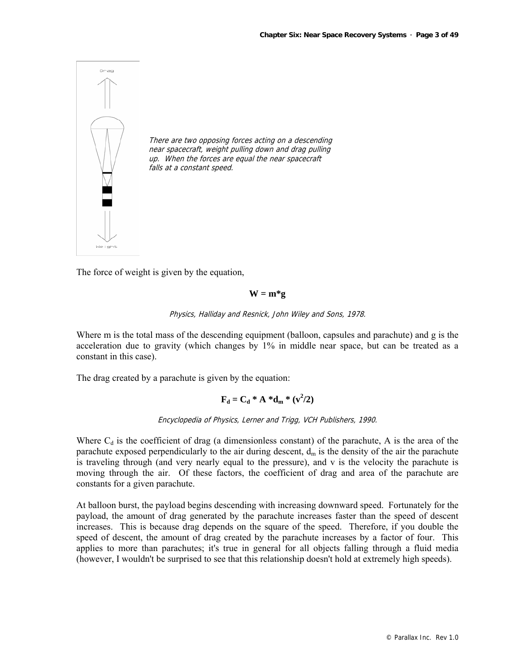

The force of weight is given by the equation,

#### $W = m^*g$

Physics, Halliday and Resnick, John Wiley and Sons, 1978.

Where m is the total mass of the descending equipment (balloon, capsules and parachute) and g is the acceleration due to gravity (which changes by 1% in middle near space, but can be treated as a constant in this case).

The drag created by a parachute is given by the equation:

$$
\mathbf{F}_d = \mathbf{C}_d * \mathbf{A} * \mathbf{d}_m * (\mathbf{v}^2/2)
$$

Encyclopedia of Physics, Lerner and Trigg, VCH Publishers, 1990.

Where  $C_d$  is the coefficient of drag (a dimensionless constant) of the parachute, A is the area of the parachute exposed perpendicularly to the air during descent,  $d_m$  is the density of the air the parachute is traveling through (and very nearly equal to the pressure), and v is the velocity the parachute is moving through the air. Of these factors, the coefficient of drag and area of the parachute are constants for a given parachute.

At balloon burst, the payload begins descending with increasing downward speed. Fortunately for the payload, the amount of drag generated by the parachute increases faster than the speed of descent increases. This is because drag depends on the square of the speed. Therefore, if you double the speed of descent, the amount of drag created by the parachute increases by a factor of four. This applies to more than parachutes; it's true in general for all objects falling through a fluid media (however, I wouldn't be surprised to see that this relationship doesn't hold at extremely high speeds).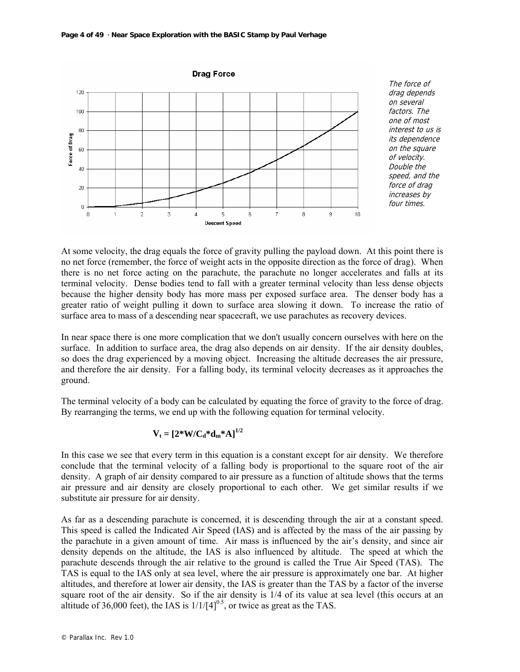**Page 4 of 49 · Near Space Exploration with the BASIC Stamp by Paul Verhage**



drag depends on several factors. The one of most interest to us is its dependence on the square of velocity. Double the speed, and the force of drag increases by four times.

At some velocity, the drag equals the force of gravity pulling the payload down. At this point there is no net force (remember, the force of weight acts in the opposite direction as the force of drag). When there is no net force acting on the parachute, the parachute no longer accelerates and falls at its terminal velocity. Dense bodies tend to fall with a greater terminal velocity than less dense objects because the higher density body has more mass per exposed surface area. The denser body has a greater ratio of weight pulling it down to surface area slowing it down. To increase the ratio of surface area to mass of a descending near spacecraft, we use parachutes as recovery devices.

In near space there is one more complication that we don't usually concern ourselves with here on the surface. In addition to surface area, the drag also depends on air density. If the air density doubles, so does the drag experienced by a moving object. Increasing the altitude decreases the air pressure, and therefore the air density. For a falling body, its terminal velocity decreases as it approaches the ground.

The terminal velocity of a body can be calculated by equating the force of gravity to the force of drag. By rearranging the terms, we end up with the following equation for terminal velocity.

$$
\mathbf{V}_{\mathrm{t}}=[2^{\mathrm{*}}\mathbf{W}/\mathbf{C}_{\mathrm{d}}^{\mathrm{*}}\mathbf{d}_{\mathrm{m}}^{\mathrm{*}}\mathbf{A}]^{1/2}
$$

In this case we see that every term in this equation is a constant except for air density. We therefore conclude that the terminal velocity of a falling body is proportional to the square root of the air density. A graph of air density compared to air pressure as a function of altitude shows that the terms air pressure and air density are closely proportional to each other. We get similar results if we substitute air pressure for air density.

As far as a descending parachute is concerned, it is descending through the air at a constant speed. This speed is called the Indicated Air Speed (IAS) and is affected by the mass of the air passing by the parachute in a given amount of time. Air mass is influenced by the air's density, and since air density depends on the altitude, the IAS is also influenced by altitude. The speed at which the parachute descends through the air relative to the ground is called the True Air Speed (TAS). The TAS is equal to the IAS only at sea level, where the air pressure is approximately one bar. At higher altitudes, and therefore at lower air density, the IAS is greater than the TAS by a factor of the inverse square root of the air density. So if the air density is 1/4 of its value at sea level (this occurs at an altitude of 36,000 feet), the IAS is  $1/1/[4]^{0.5}$ , or twice as great as the TAS.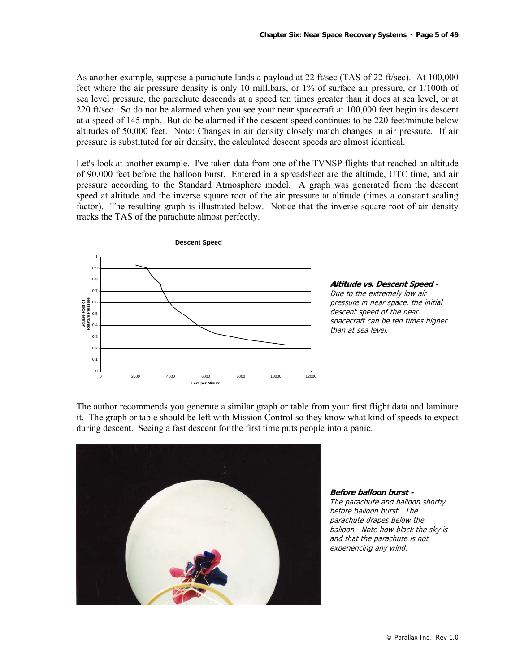As another example, suppose a parachute lands a payload at 22 ft/sec (TAS of 22 ft/sec). At 100,000 feet where the air pressure density is only 10 millibars, or 1% of surface air pressure, or 1/100th of sea level pressure, the parachute descends at a speed ten times greater than it does at sea level, or at 220 ft/sec. So do not be alarmed when you see your near spacecraft at 100,000 feet begin its descent at a speed of 145 mph. But do be alarmed if the descent speed continues to be 220 feet/minute below altitudes of 50,000 feet. Note: Changes in air density closely match changes in air pressure. If air pressure is substituted for air density, the calculated descent speeds are almost identical.

Let's look at another example. I've taken data from one of the TVNSP flights that reached an altitude of 90,000 feet before the balloon burst. Entered in a spreadsheet are the altitude, UTC time, and air pressure according to the Standard Atmosphere model. A graph was generated from the descent speed at altitude and the inverse square root of the air pressure at altitude (times a constant scaling factor). The resulting graph is illustrated below. Notice that the inverse square root of air density tracks the TAS of the parachute almost perfectly.



**Altitude vs. Descent Speed -**  Due to the extremely low air pressure in near space, the initial descent speed of the near spacecraft can be ten times higher than at sea level.

The author recommends you generate a similar graph or table from your first flight data and laminate it. The graph or table should be left with Mission Control so they know what kind of speeds to expect during descent. Seeing a fast descent for the first time puts people into a panic.



**Before balloon burst -**  The parachute and balloon shortly before balloon burst. The parachute drapes below the balloon. Note how black the sky is and that the parachute is not experiencing any wind.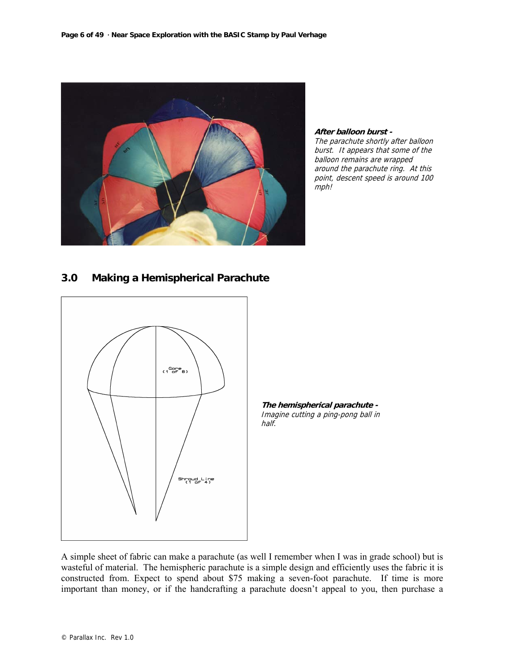

**After balloon burst -**  The parachute shortly after balloon burst. It appears that some of the balloon remains are wrapped around the parachute ring. At this point, descent speed is around 100 mph!

# **3.0 Making a Hemispherical Parachute**





A simple sheet of fabric can make a parachute (as well I remember when I was in grade school) but is wasteful of material. The hemispheric parachute is a simple design and efficiently uses the fabric it is constructed from. Expect to spend about \$75 making a seven-foot parachute. If time is more important than money, or if the handcrafting a parachute doesn't appeal to you, then purchase a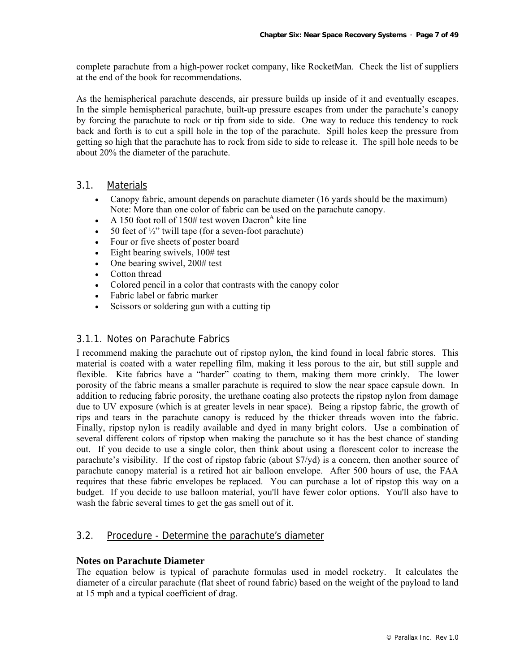complete parachute from a high-power rocket company, like RocketMan. Check the list of suppliers at the end of the book for recommendations.

As the hemispherical parachute descends, air pressure builds up inside of it and eventually escapes. In the simple hemispherical parachute, built-up pressure escapes from under the parachute's canopy by forcing the parachute to rock or tip from side to side. One way to reduce this tendency to rock back and forth is to cut a spill hole in the top of the parachute. Spill holes keep the pressure from getting so high that the parachute has to rock from side to side to release it. The spill hole needs to be about 20% the diameter of the parachute.

# 3.1. Materials

- Canopy fabric, amount depends on parachute diameter (16 yards should be the maximum) Note: More than one color of fabric can be used on the parachute canopy.
- A 150 foot roll of 150# test woven Dacron<sup>A</sup> kite line
- 50 feet of  $\frac{1}{2}$ " twill tape (for a seven-foot parachute)
- Four or five sheets of poster board
- Eight bearing swivels,  $100#$  test
- One bearing swivel, 200# test
- Cotton thread
- Colored pencil in a color that contrasts with the canopy color
- Fabric label or fabric marker
- Scissors or soldering gun with a cutting tip

# 3.1.1. Notes on Parachute Fabrics

I recommend making the parachute out of ripstop nylon, the kind found in local fabric stores. This material is coated with a water repelling film, making it less porous to the air, but still supple and flexible. Kite fabrics have a "harder" coating to them, making them more crinkly. The lower porosity of the fabric means a smaller parachute is required to slow the near space capsule down. In addition to reducing fabric porosity, the urethane coating also protects the ripstop nylon from damage due to UV exposure (which is at greater levels in near space). Being a ripstop fabric, the growth of rips and tears in the parachute canopy is reduced by the thicker threads woven into the fabric. Finally, ripstop nylon is readily available and dyed in many bright colors. Use a combination of several different colors of ripstop when making the parachute so it has the best chance of standing out. If you decide to use a single color, then think about using a florescent color to increase the parachute's visibility. If the cost of ripstop fabric (about \$7/yd) is a concern, then another source of parachute canopy material is a retired hot air balloon envelope. After 500 hours of use, the FAA requires that these fabric envelopes be replaced. You can purchase a lot of ripstop this way on a budget. If you decide to use balloon material, you'll have fewer color options. You'll also have to wash the fabric several times to get the gas smell out of it.

# 3.2. Procedure - Determine the parachute's diameter

## **Notes on Parachute Diameter**

The equation below is typical of parachute formulas used in model rocketry. It calculates the diameter of a circular parachute (flat sheet of round fabric) based on the weight of the payload to land at 15 mph and a typical coefficient of drag.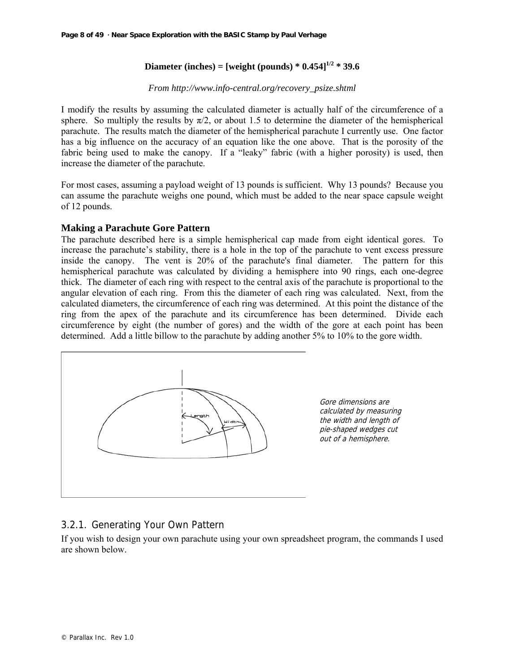# **Diameter (inches)** = [weight (pounds)  $* 0.454$ ]<sup>1/2</sup>  $* 39.6$

#### *From http://www.info-central.org/recovery\_psize.shtml*

I modify the results by assuming the calculated diameter is actually half of the circumference of a sphere. So multiply the results by  $\pi/2$ , or about 1.5 to determine the diameter of the hemispherical parachute. The results match the diameter of the hemispherical parachute I currently use. One factor has a big influence on the accuracy of an equation like the one above. That is the porosity of the fabric being used to make the canopy. If a "leaky" fabric (with a higher porosity) is used, then increase the diameter of the parachute.

For most cases, assuming a payload weight of 13 pounds is sufficient. Why 13 pounds? Because you can assume the parachute weighs one pound, which must be added to the near space capsule weight of 12 pounds.

#### **Making a Parachute Gore Pattern**

The parachute described here is a simple hemispherical cap made from eight identical gores. To increase the parachute's stability, there is a hole in the top of the parachute to vent excess pressure inside the canopy. The vent is 20% of the parachute's final diameter. The pattern for this hemispherical parachute was calculated by dividing a hemisphere into 90 rings, each one-degree thick. The diameter of each ring with respect to the central axis of the parachute is proportional to the angular elevation of each ring. From this the diameter of each ring was calculated. Next, from the calculated diameters, the circumference of each ring was determined. At this point the distance of the ring from the apex of the parachute and its circumference has been determined. Divide each circumference by eight (the number of gores) and the width of the gore at each point has been determined. Add a little billow to the parachute by adding another 5% to 10% to the gore width.



Gore dimensions are calculated by measuring the width and length of pie-shaped wedges cut out of a hemisphere.

# 3.2.1. Generating Your Own Pattern

If you wish to design your own parachute using your own spreadsheet program, the commands I used are shown below.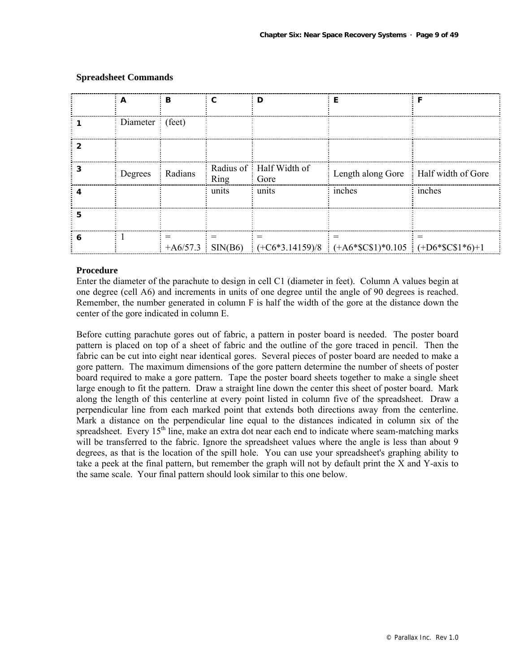| A                                           | ÷В        | $\mathbf{c}$ | D                                         | F                                                                                            | F          |
|---------------------------------------------|-----------|--------------|-------------------------------------------|----------------------------------------------------------------------------------------------|------------|
| $\frac{1}{2}$ Diameter $\frac{1}{2}$ (feet) |           |              |                                           |                                                                                              |            |
|                                             |           |              |                                           |                                                                                              |            |
|                                             |           |              |                                           |                                                                                              |            |
| Degrees                                     | : Radians | Ring         | Radius of: Half Width of<br>$\vdots$ Gore | Length along Gore : Half width of Gore                                                       |            |
|                                             |           | units        | $\frac{1}{2}$ units                       | inches                                                                                       | $:$ inches |
|                                             |           |              |                                           |                                                                                              |            |
|                                             |           |              |                                           |                                                                                              |            |
|                                             |           |              |                                           | +A6/57.3 SIN(B6) $\left(-C6*3.14159\right)/8$ $\left(-A6*SC$1)*0.105 \right] (-D6*SC$1*6)+1$ |            |

#### **Spreadsheet Commands**

#### **Procedure**

Enter the diameter of the parachute to design in cell C1 (diameter in feet). Column A values begin at one degree (cell A6) and increments in units of one degree until the angle of 90 degrees is reached. Remember, the number generated in column F is half the width of the gore at the distance down the center of the gore indicated in column E.

Before cutting parachute gores out of fabric, a pattern in poster board is needed. The poster board pattern is placed on top of a sheet of fabric and the outline of the gore traced in pencil. Then the fabric can be cut into eight near identical gores. Several pieces of poster board are needed to make a gore pattern. The maximum dimensions of the gore pattern determine the number of sheets of poster board required to make a gore pattern. Tape the poster board sheets together to make a single sheet large enough to fit the pattern. Draw a straight line down the center this sheet of poster board. Mark along the length of this centerline at every point listed in column five of the spreadsheet. Draw a perpendicular line from each marked point that extends both directions away from the centerline. Mark a distance on the perpendicular line equal to the distances indicated in column six of the spreadsheet. Every  $15<sup>th</sup>$  line, make an extra dot near each end to indicate where seam-matching marks will be transferred to the fabric. Ignore the spreadsheet values where the angle is less than about 9 degrees, as that is the location of the spill hole. You can use your spreadsheet's graphing ability to take a peek at the final pattern, but remember the graph will not by default print the X and Y-axis to the same scale. Your final pattern should look similar to this one below.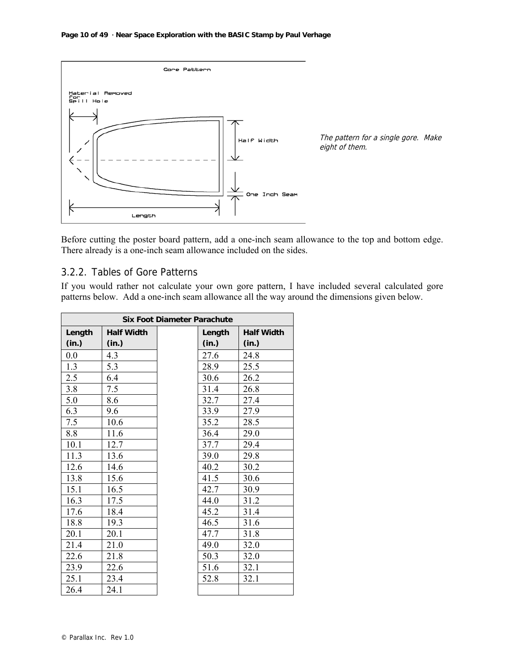

Before cutting the poster board pattern, add a one-inch seam allowance to the top and bottom edge. There already is a one-inch seam allowance included on the sides.

# 3.2.2. Tables of Gore Patterns

If you would rather not calculate your own gore pattern, I have included several calculated gore patterns below. Add a one-inch seam allowance all the way around the dimensions given below.

| <b>Six Foot Diameter Parachute</b> |                   |  |        |                   |
|------------------------------------|-------------------|--|--------|-------------------|
| Length                             | <b>Half Width</b> |  | Length | <b>Half Width</b> |
| (in.)                              | (in.)             |  | (in.)  | (in.)             |
| 0.0                                | 4.3               |  | 27.6   | 24.8              |
| 1.3                                | 5.3               |  | 28.9   | 25.5              |
| 2.5                                | 6.4               |  | 30.6   | 26.2              |
| 3.8                                | 7.5               |  | 31.4   | 26.8              |
| 5.0                                | 8.6               |  | 32.7   | 27.4              |
| 6.3                                | 9.6               |  | 33.9   | 27.9              |
| 7.5                                | 10.6              |  | 35.2   | 28.5              |
| 8.8                                | 11.6              |  | 36.4   | 29.0              |
| 10.1                               | 12.7              |  | 37.7   | 29.4              |
| 11.3                               | 13.6              |  | 39.0   | 29.8              |
| 12.6                               | 14.6              |  | 40.2   | 30.2              |
| 13.8                               | 15.6              |  | 41.5   | 30.6              |
| 15.1                               | 16.5              |  | 42.7   | 30.9              |
| 16.3                               | 17.5              |  | 44.0   | 31.2              |
| 17.6                               | 18.4              |  | 45.2   | 31.4              |
| 18.8                               | 19.3              |  | 46.5   | 31.6              |
| 20.1                               | 20.1              |  | 47.7   | 31.8              |
| 21.4                               | 21.0              |  | 49.0   | 32.0              |
| 22.6                               | 21.8              |  | 50.3   | 32.0              |
| 23.9                               | 22.6              |  | 51.6   | 32.1              |
| 25.1                               | 23.4              |  | 52.8   | 32.1              |
| 26.4                               | 24.1              |  |        |                   |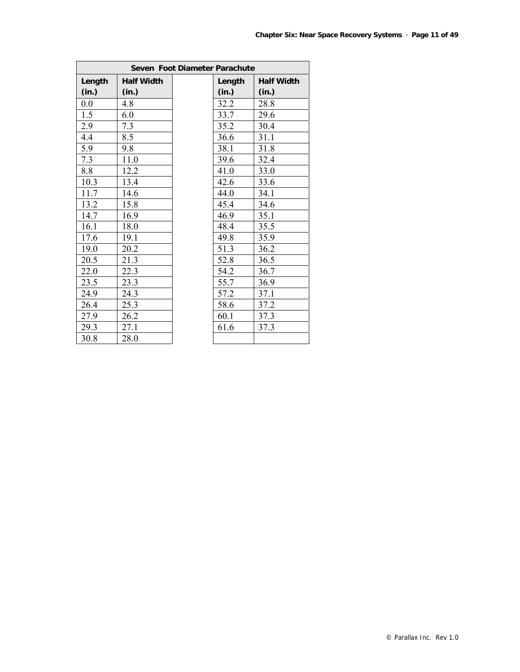| Seven Foot Diameter Parachute |                   |  |        |                   |  |
|-------------------------------|-------------------|--|--------|-------------------|--|
| Length                        | <b>Half Width</b> |  | Length | <b>Half Width</b> |  |
| (in.)                         | (in.)             |  | (in.)  | (in.)             |  |
| 0.0                           | 4.8               |  | 32.2   | 28.8              |  |
| 1.5                           | 6.0               |  | 33.7   | 29.6              |  |
| 2.9                           | 7.3               |  | 35.2   | 30.4              |  |
| 4.4                           | 8.5               |  | 36.6   | 31.1              |  |
| 5.9                           | 9.8               |  | 38.1   | 31.8              |  |
| 7.3                           | 11.0              |  | 39.6   | 32.4              |  |
| 8.8                           | 12.2              |  | 41.0   | 33.0              |  |
| 10.3                          | 13.4              |  | 42.6   | 33.6              |  |
| 11.7                          | 14.6              |  | 44.0   | 34.1              |  |
| 13.2                          | 15.8              |  | 45.4   | 34.6              |  |
| 14.7                          | 16.9              |  | 46.9   | 35.1              |  |
| 16.1                          | 18.0              |  | 48.4   | 35.5              |  |
| 17.6                          | 19.1              |  | 49.8   | 35.9              |  |
| 19.0                          | 20.2              |  | 51.3   | 36.2              |  |
| 20.5                          | 21.3              |  | 52.8   | 36.5              |  |
| 22.0                          | 22.3              |  | 54.2   | 36.7              |  |
| 23.5                          | 23.3              |  | 55.7   | 36.9              |  |
| 24.9                          | 24.3              |  | 57.2   | 37.1              |  |
| 26.4                          | 25.3              |  | 58.6   | 37.2              |  |
| 27.9                          | 26.2              |  | 60.1   | 37.3              |  |
| 29.3                          | 27.1              |  | 61.6   | 37.3              |  |
| 30.8                          | 28.0              |  |        |                   |  |

7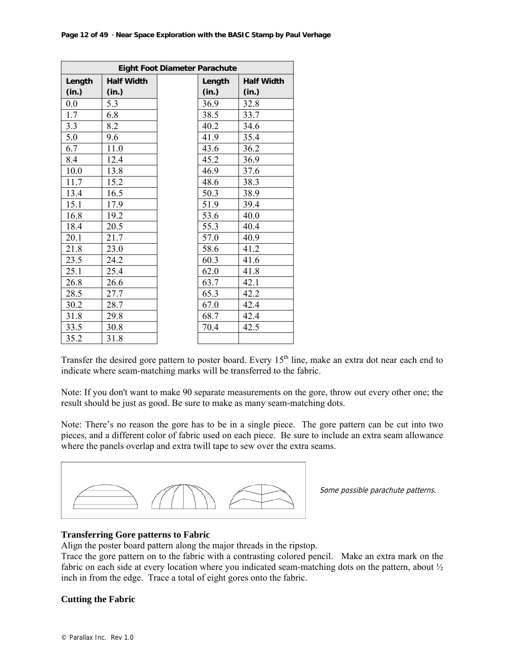|        | Eight Foot Diameter Parachute |  |        |                   |  |  |
|--------|-------------------------------|--|--------|-------------------|--|--|
| Length | <b>Half Width</b>             |  | Length | <b>Half Width</b> |  |  |
| (in.)  | (in.)                         |  | (in.)  | (in.)             |  |  |
| 0.0    | 5.3                           |  | 36.9   | 32.8              |  |  |
| 1.7    | 6.8                           |  | 38.5   | 33.7              |  |  |
| 3.3    | 8.2                           |  | 40.2   | 34.6              |  |  |
| 5.0    | 9.6                           |  | 41.9   | 35.4              |  |  |
| 6.7    | 11.0                          |  | 43.6   | 36.2              |  |  |
| 8.4    | 12.4                          |  | 45.2   | 36.9              |  |  |
| 10.0   | 13.8                          |  | 46.9   | 37.6              |  |  |
| 11.7   | 15.2                          |  | 48.6   | 38.3              |  |  |
| 13.4   | 16.5                          |  | 50.3   | 38.9              |  |  |
| 15.1   | 17.9                          |  | 51.9   | 39.4              |  |  |
| 16.8   | 19.2                          |  | 53.6   | 40.0              |  |  |
| 18.4   | 20.5                          |  | 55.3   | 40.4              |  |  |
| 20.1   | 21.7                          |  | 57.0   | 40.9              |  |  |
| 21.8   | 23.0                          |  | 58.6   | 41.2              |  |  |
| 23.5   | 24.2                          |  | 60.3   | 41.6              |  |  |
| 25.1   | 25.4                          |  | 62.0   | 41.8              |  |  |
| 26.8   | 26.6                          |  | 63.7   | 42.1              |  |  |
| 28.5   | 27.7                          |  | 65.3   | 42.2              |  |  |
| 30.2   | 28.7                          |  | 67.0   | 42.4              |  |  |
| 31.8   | 29.8                          |  | 68.7   | 42.4              |  |  |
| 33.5   | 30.8                          |  | 70.4   | 42.5              |  |  |
| 35.2   | 31.8                          |  |        |                   |  |  |

Transfer the desired gore pattern to poster board. Every  $15<sup>th</sup>$  line, make an extra dot near each end to indicate where seam-matching marks will be transferred to the fabric.

Note: If you don't want to make 90 separate measurements on the gore, throw out every other one; the result should be just as good. Be sure to make as many seam-matching dots.

Note: There's no reason the gore has to be in a single piece. The gore pattern can be cut into two pieces, and a different color of fabric used on each piece. Be sure to include an extra seam allowance where the panels overlap and extra twill tape to sew over the extra seams.



Some possible parachute patterns.

#### **Transferring Gore patterns to Fabric**

Align the poster board pattern along the major threads in the ripstop.

Trace the gore pattern on to the fabric with a contrasting colored pencil. Make an extra mark on the fabric on each side at every location where you indicated seam-matching dots on the pattern, about  $\frac{1}{2}$ inch in from the edge. Trace a total of eight gores onto the fabric.

#### **Cutting the Fabric**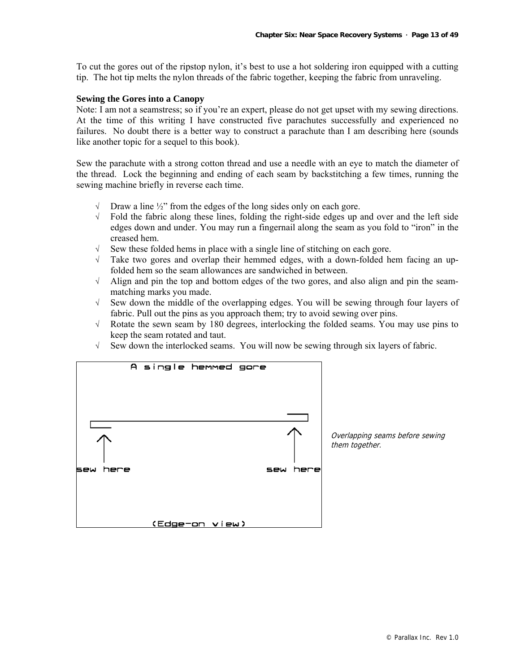To cut the gores out of the ripstop nylon, it's best to use a hot soldering iron equipped with a cutting tip. The hot tip melts the nylon threads of the fabric together, keeping the fabric from unraveling.

#### **Sewing the Gores into a Canopy**

Note: I am not a seamstress; so if you're an expert, please do not get upset with my sewing directions. At the time of this writing I have constructed five parachutes successfully and experienced no failures. No doubt there is a better way to construct a parachute than I am describing here (sounds like another topic for a sequel to this book).

Sew the parachute with a strong cotton thread and use a needle with an eye to match the diameter of the thread. Lock the beginning and ending of each seam by backstitching a few times, running the sewing machine briefly in reverse each time.

- $\sqrt{\phantom{a}}$  Draw a line  $\frac{1}{2}$  from the edges of the long sides only on each gore.
- $\sqrt{\phantom{a}}$  Fold the fabric along these lines, folding the right-side edges up and over and the left side edges down and under. You may run a fingernail along the seam as you fold to "iron" in the creased hem.
- $\sqrt{\phantom{a}}$  Sew these folded hems in place with a single line of stitching on each gore.
- √ Take two gores and overlap their hemmed edges, with a down-folded hem facing an upfolded hem so the seam allowances are sandwiched in between.
- √ Align and pin the top and bottom edges of the two gores, and also align and pin the seammatching marks you made.
- √ Sew down the middle of the overlapping edges. You will be sewing through four layers of fabric. Pull out the pins as you approach them; try to avoid sewing over pins.
- √ Rotate the sewn seam by 180 degrees, interlocking the folded seams. You may use pins to keep the seam rotated and taut.
- √ Sew down the interlocked seams. You will now be sewing through six layers of fabric.

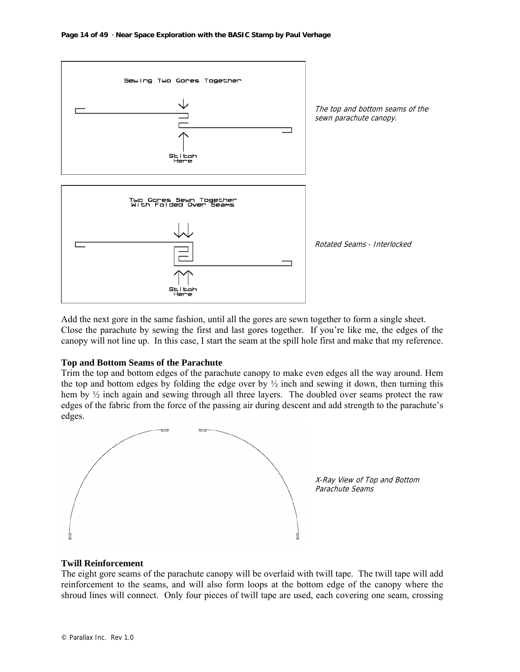

Add the next gore in the same fashion, until all the gores are sewn together to form a single sheet. Close the parachute by sewing the first and last gores together. If you're like me, the edges of the canopy will not line up. In this case, I start the seam at the spill hole first and make that my reference.

#### **Top and Bottom Seams of the Parachute**

Trim the top and bottom edges of the parachute canopy to make even edges all the way around. Hem the top and bottom edges by folding the edge over by  $\frac{1}{2}$  inch and sewing it down, then turning this hem by ½ inch again and sewing through all three layers. The doubled over seams protect the raw edges of the fabric from the force of the passing air during descent and add strength to the parachute's edges.



#### **Twill Reinforcement**

The eight gore seams of the parachute canopy will be overlaid with twill tape. The twill tape will add reinforcement to the seams, and will also form loops at the bottom edge of the canopy where the shroud lines will connect. Only four pieces of twill tape are used, each covering one seam, crossing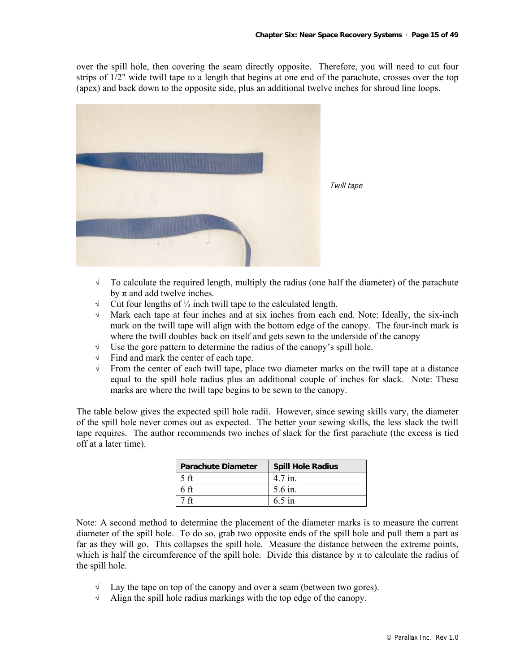over the spill hole, then covering the seam directly opposite. Therefore, you will need to cut four strips of 1/2" wide twill tape to a length that begins at one end of the parachute, crosses over the top (apex) and back down to the opposite side, plus an additional twelve inches for shroud line loops.



- $\sqrt{\phantom{a}}$  To calculate the required length, multiply the radius (one half the diameter) of the parachute by  $\pi$  and add twelve inches.
- $\sqrt{\phantom{a}}$  Cut four lengths of  $\frac{1}{2}$  inch twill tape to the calculated length.
- √ Mark each tape at four inches and at six inches from each end. Note: Ideally, the six-inch mark on the twill tape will align with the bottom edge of the canopy. The four-inch mark is where the twill doubles back on itself and gets sewn to the underside of the canopy
- Use the gore pattern to determine the radius of the canopy's spill hole.
- √ Find and mark the center of each tape.
- √ From the center of each twill tape, place two diameter marks on the twill tape at a distance equal to the spill hole radius plus an additional couple of inches for slack. Note: These marks are where the twill tape begins to be sewn to the canopy.

The table below gives the expected spill hole radii. However, since sewing skills vary, the diameter of the spill hole never comes out as expected. The better your sewing skills, the less slack the twill tape requires. The author recommends two inches of slack for the first parachute (the excess is tied off at a later time).

| <b>Parachute Diameter</b> | <b>Spill Hole Radius</b> |
|---------------------------|--------------------------|
|                           | 4.7 in.                  |
|                           | 5.6 in.                  |
|                           | $6.5$ in                 |

Note: A second method to determine the placement of the diameter marks is to measure the current diameter of the spill hole. To do so, grab two opposite ends of the spill hole and pull them a part as far as they will go. This collapses the spill hole. Measure the distance between the extreme points, which is half the circumference of the spill hole. Divide this distance by  $\pi$  to calculate the radius of the spill hole.

- $\sqrt{\phantom{a}}$  Lay the tape on top of the canopy and over a seam (between two gores).
- √ Align the spill hole radius markings with the top edge of the canopy.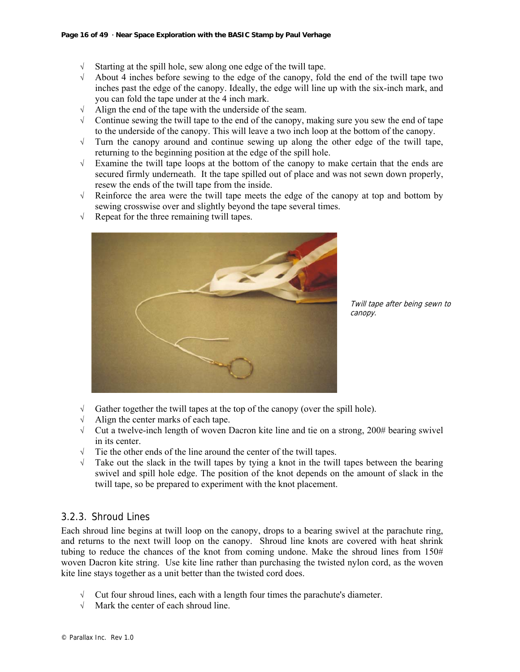- $\sqrt{\phantom{a}}$  Starting at the spill hole, sew along one edge of the twill tape.
- √ About 4 inches before sewing to the edge of the canopy, fold the end of the twill tape two inches past the edge of the canopy. Ideally, the edge will line up with the six-inch mark, and you can fold the tape under at the 4 inch mark.
- √ Align the end of the tape with the underside of the seam.
- $\sqrt{\phantom{a}}$  Continue sewing the twill tape to the end of the canopy, making sure you sew the end of tape to the underside of the canopy. This will leave a two inch loop at the bottom of the canopy.
- √ Turn the canopy around and continue sewing up along the other edge of the twill tape, returning to the beginning position at the edge of the spill hole.
- $\sqrt{\phantom{a}}$  Examine the twill tape loops at the bottom of the canopy to make certain that the ends are secured firmly underneath. It the tape spilled out of place and was not sewn down properly, resew the ends of the twill tape from the inside.
- √ Reinforce the area were the twill tape meets the edge of the canopy at top and bottom by sewing crosswise over and slightly beyond the tape several times.
- $\sqrt{\phantom{a}}$  Repeat for the three remaining twill tapes.



Twill tape after being sewn to canopy.

- $\sqrt{\phantom{a}}$  Gather together the twill tapes at the top of the canopy (over the spill hole).
- Align the center marks of each tape.
- √ Cut a twelve-inch length of woven Dacron kite line and tie on a strong, 200# bearing swivel in its center.
- The the other ends of the line around the center of the twill tapes.
- $\sqrt{\phantom{a}}$  Take out the slack in the twill tapes by tying a knot in the twill tapes between the bearing swivel and spill hole edge. The position of the knot depends on the amount of slack in the twill tape, so be prepared to experiment with the knot placement.

# 3.2.3. Shroud Lines

Each shroud line begins at twill loop on the canopy, drops to a bearing swivel at the parachute ring, and returns to the next twill loop on the canopy. Shroud line knots are covered with heat shrink tubing to reduce the chances of the knot from coming undone. Make the shroud lines from  $150#$ woven Dacron kite string. Use kite line rather than purchasing the twisted nylon cord, as the woven kite line stays together as a unit better than the twisted cord does.

- $\sqrt{\phantom{a}}$  Cut four shroud lines, each with a length four times the parachute's diameter.
- √ Mark the center of each shroud line.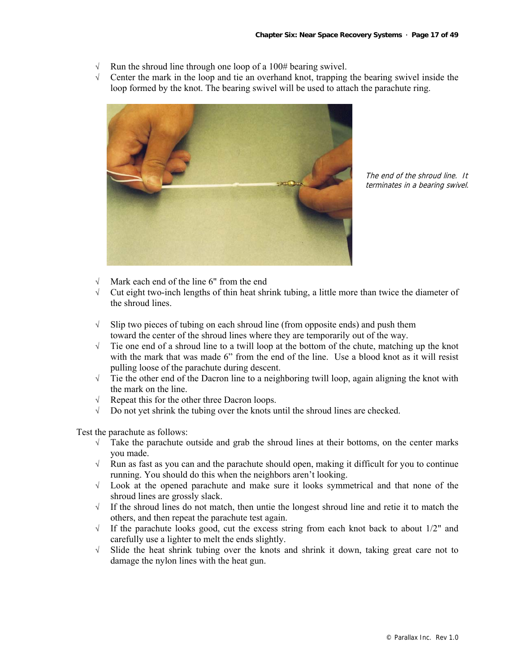- Run the shroud line through one loop of a 100# bearing swivel.
- √ Center the mark in the loop and tie an overhand knot, trapping the bearing swivel inside the loop formed by the knot. The bearing swivel will be used to attach the parachute ring.



The end of the shroud line. It terminates in a bearing swivel.

- Mark each end of the line 6" from the end
- √ Cut eight two-inch lengths of thin heat shrink tubing, a little more than twice the diameter of the shroud lines.
- $\sqrt{\phantom{a}}$  Slip two pieces of tubing on each shroud line (from opposite ends) and push them toward the center of the shroud lines where they are temporarily out of the way.
- √ Tie one end of a shroud line to a twill loop at the bottom of the chute, matching up the knot with the mark that was made 6" from the end of the line. Use a blood knot as it will resist pulling loose of the parachute during descent.
- √ Tie the other end of the Dacron line to a neighboring twill loop, again aligning the knot with the mark on the line.
- √ Repeat this for the other three Dacron loops.
- √ Do not yet shrink the tubing over the knots until the shroud lines are checked.

Test the parachute as follows:

- $\sqrt{\phantom{a}}$  Take the parachute outside and grab the shroud lines at their bottoms, on the center marks you made.
- √ Run as fast as you can and the parachute should open, making it difficult for you to continue running. You should do this when the neighbors aren't looking.
- √ Look at the opened parachute and make sure it looks symmetrical and that none of the shroud lines are grossly slack.
- √ If the shroud lines do not match, then untie the longest shroud line and retie it to match the others, and then repeat the parachute test again.
- $\sqrt{\phantom{a}}$  If the parachute looks good, cut the excess string from each knot back to about 1/2" and carefully use a lighter to melt the ends slightly.
- √ Slide the heat shrink tubing over the knots and shrink it down, taking great care not to damage the nylon lines with the heat gun.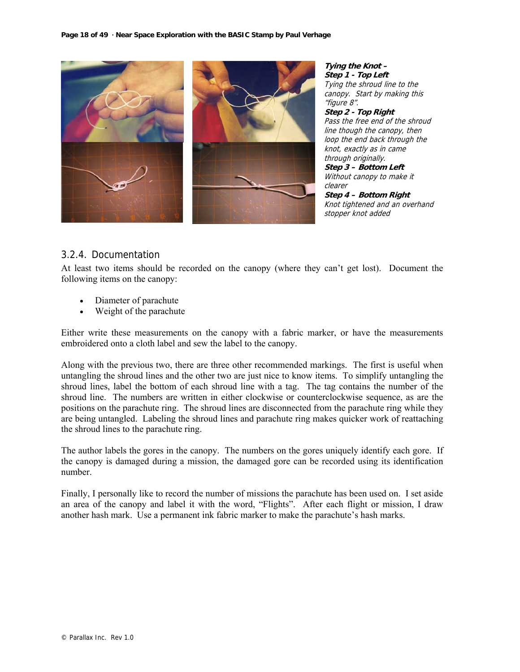

**Tying the Knot – Step 1 - Top Left**  Tying the shroud line to the canopy. Start by making this "figure 8". **Step 2 - Top Right**  Pass the free end of the shroud line though the canopy, then loop the end back through the knot, exactly as in came through originally. **Step 3 – Bottom Left**  Without canopy to make it clearer **Step 4 – Bottom Right**  Knot tightened and an overhand stopper knot added

# 3.2.4. Documentation

At least two items should be recorded on the canopy (where they can't get lost). Document the following items on the canopy:

- Diameter of parachute
- Weight of the parachute

Either write these measurements on the canopy with a fabric marker, or have the measurements embroidered onto a cloth label and sew the label to the canopy.

Along with the previous two, there are three other recommended markings. The first is useful when untangling the shroud lines and the other two are just nice to know items. To simplify untangling the shroud lines, label the bottom of each shroud line with a tag. The tag contains the number of the shroud line. The numbers are written in either clockwise or counterclockwise sequence, as are the positions on the parachute ring. The shroud lines are disconnected from the parachute ring while they are being untangled. Labeling the shroud lines and parachute ring makes quicker work of reattaching the shroud lines to the parachute ring.

The author labels the gores in the canopy. The numbers on the gores uniquely identify each gore. If the canopy is damaged during a mission, the damaged gore can be recorded using its identification number.

Finally, I personally like to record the number of missions the parachute has been used on. I set aside an area of the canopy and label it with the word, "Flights". After each flight or mission, I draw another hash mark. Use a permanent ink fabric marker to make the parachute's hash marks.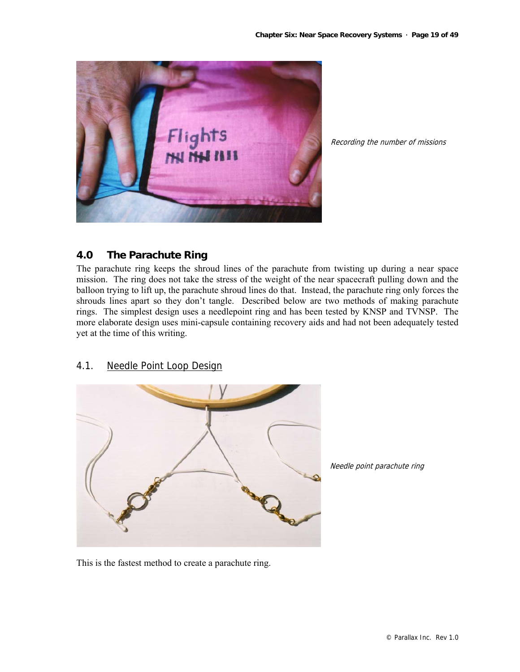

Recording the number of missions

# **4.0 The Parachute Ring**

The parachute ring keeps the shroud lines of the parachute from twisting up during a near space mission. The ring does not take the stress of the weight of the near spacecraft pulling down and the balloon trying to lift up, the parachute shroud lines do that. Instead, the parachute ring only forces the shrouds lines apart so they don't tangle. Described below are two methods of making parachute rings. The simplest design uses a needlepoint ring and has been tested by KNSP and TVNSP. The more elaborate design uses mini-capsule containing recovery aids and had not been adequately tested yet at the time of this writing.

# 4.1. Needle Point Loop Design



Needle point parachute ring

This is the fastest method to create a parachute ring.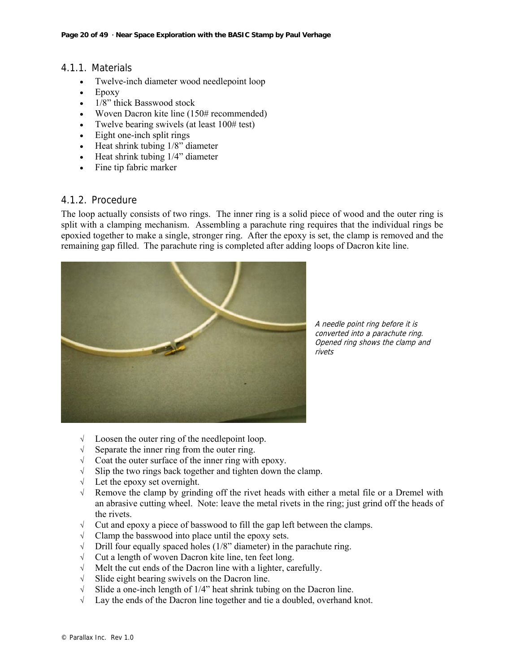## 4.1.1. Materials

- Twelve-inch diameter wood needlepoint loop
- Epoxy
- 1/8" thick Basswood stock
- Woven Dacron kite line (150# recommended)
- Twelve bearing swivels (at least 100# test)
- Eight one-inch split rings
- Heat shrink tubing  $1/8$ " diameter
- Heat shrink tubing  $1/4$ " diameter
- Fine tip fabric marker

# 4.1.2. Procedure

The loop actually consists of two rings. The inner ring is a solid piece of wood and the outer ring is split with a clamping mechanism. Assembling a parachute ring requires that the individual rings be epoxied together to make a single, stronger ring. After the epoxy is set, the clamp is removed and the remaining gap filled. The parachute ring is completed after adding loops of Dacron kite line.



A needle point ring before it is converted into a parachute ring. Opened ring shows the clamp and rivets

- √ Loosen the outer ring of the needlepoint loop.
- √ Separate the inner ring from the outer ring.
- √ Coat the outer surface of the inner ring with epoxy.
- √ Slip the two rings back together and tighten down the clamp.
- √ Let the epoxy set overnight.
- √ Remove the clamp by grinding off the rivet heads with either a metal file or a Dremel with an abrasive cutting wheel. Note: leave the metal rivets in the ring; just grind off the heads of the rivets.
- √ Cut and epoxy a piece of basswood to fill the gap left between the clamps.
- $\sqrt{\phantom{a}}$  Clamp the basswood into place until the epoxy sets.
- $\sqrt{\phantom{a}}$  Drill four equally spaced holes (1/8" diameter) in the parachute ring.
- √ Cut a length of woven Dacron kite line, ten feet long.
- √ Melt the cut ends of the Dacron line with a lighter, carefully.
- √ Slide eight bearing swivels on the Dacron line.
- √ Slide a one-inch length of 1/4" heat shrink tubing on the Dacron line.
- √ Lay the ends of the Dacron line together and tie a doubled, overhand knot.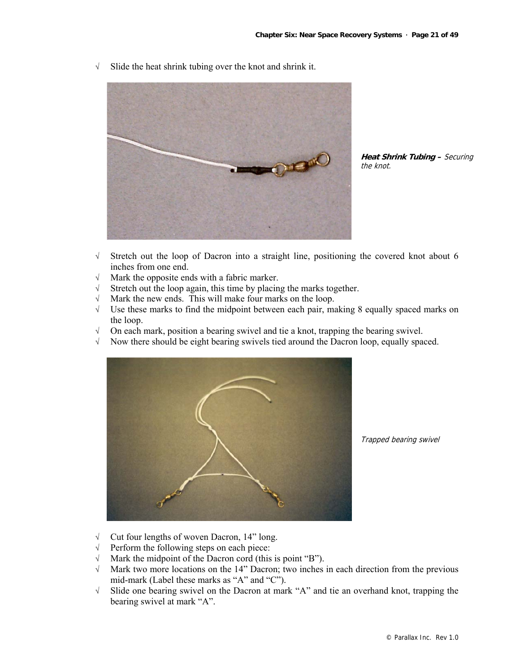√ Slide the heat shrink tubing over the knot and shrink it.

**Heat Shrink Tubing –** Securing the knot.

- √ Stretch out the loop of Dacron into a straight line, positioning the covered knot about 6 inches from one end.
- √ Mark the opposite ends with a fabric marker.
- $\sqrt{\phantom{a}}$  Stretch out the loop again, this time by placing the marks together.
- √ Mark the new ends. This will make four marks on the loop.
- $\sqrt{\phantom{a}}$  Use these marks to find the midpoint between each pair, making 8 equally spaced marks on the loop.
- √ On each mark, position a bearing swivel and tie a knot, trapping the bearing swivel.
- √ Now there should be eight bearing swivels tied around the Dacron loop, equally spaced.



Trapped bearing swivel

- √ Cut four lengths of woven Dacron, 14" long.
- √ Perform the following steps on each piece:
- √ Mark the midpoint of the Dacron cord (this is point "B").
- √ Mark two more locations on the 14" Dacron; two inches in each direction from the previous mid-mark (Label these marks as "A" and "C").
- √ Slide one bearing swivel on the Dacron at mark "A" and tie an overhand knot, trapping the bearing swivel at mark "A".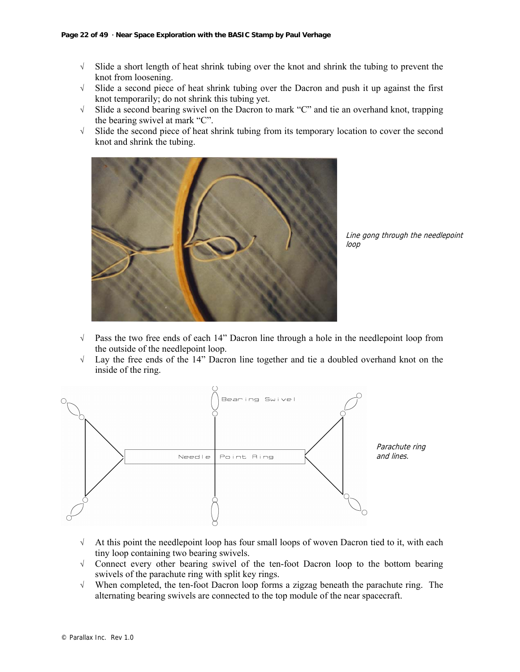- √ Slide a short length of heat shrink tubing over the knot and shrink the tubing to prevent the knot from loosening.
- √ Slide a second piece of heat shrink tubing over the Dacron and push it up against the first knot temporarily; do not shrink this tubing yet.
- √ Slide a second bearing swivel on the Dacron to mark "C" and tie an overhand knot, trapping the bearing swivel at mark "C".
- √ Slide the second piece of heat shrink tubing from its temporary location to cover the second knot and shrink the tubing.



Line gong through the needlepoint loop

- √ Pass the two free ends of each 14" Dacron line through a hole in the needlepoint loop from the outside of the needlepoint loop.
- √ Lay the free ends of the 14" Dacron line together and tie a doubled overhand knot on the inside of the ring.



- $\sqrt{\phantom{a}}$  At this point the needlepoint loop has four small loops of woven Dacron tied to it, with each tiny loop containing two bearing swivels.
- √ Connect every other bearing swivel of the ten-foot Dacron loop to the bottom bearing swivels of the parachute ring with split key rings.
- √ When completed, the ten-foot Dacron loop forms a zigzag beneath the parachute ring. The alternating bearing swivels are connected to the top module of the near spacecraft.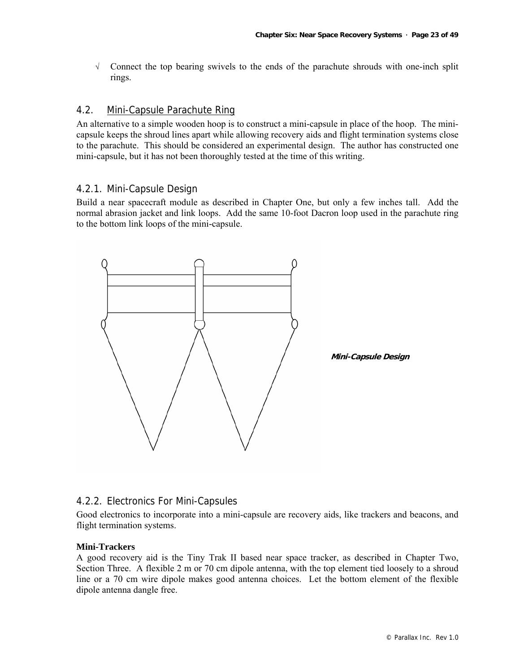√ Connect the top bearing swivels to the ends of the parachute shrouds with one-inch split rings.

#### 4.2. Mini-Capsule Parachute Ring

An alternative to a simple wooden hoop is to construct a mini-capsule in place of the hoop. The minicapsule keeps the shroud lines apart while allowing recovery aids and flight termination systems close to the parachute. This should be considered an experimental design. The author has constructed one mini-capsule, but it has not been thoroughly tested at the time of this writing.

## 4.2.1. Mini-Capsule Design

Build a near spacecraft module as described in Chapter One, but only a few inches tall. Add the normal abrasion jacket and link loops. Add the same 10-foot Dacron loop used in the parachute ring to the bottom link loops of the mini-capsule.



# 4.2.2. Electronics For Mini-Capsules

Good electronics to incorporate into a mini-capsule are recovery aids, like trackers and beacons, and flight termination systems.

#### **Mini-Trackers**

A good recovery aid is the Tiny Trak II based near space tracker, as described in Chapter Two, Section Three. A flexible 2 m or 70 cm dipole antenna, with the top element tied loosely to a shroud line or a 70 cm wire dipole makes good antenna choices. Let the bottom element of the flexible dipole antenna dangle free.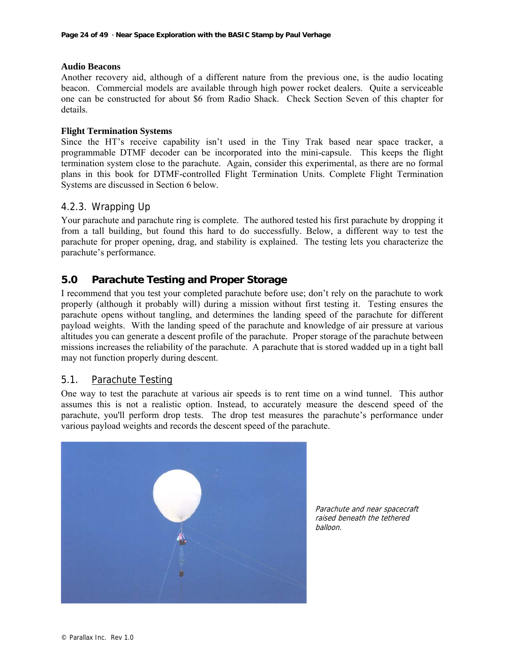#### **Audio Beacons**

Another recovery aid, although of a different nature from the previous one, is the audio locating beacon. Commercial models are available through high power rocket dealers. Quite a serviceable one can be constructed for about \$6 from Radio Shack. Check Section Seven of this chapter for details.

#### **Flight Termination Systems**

Since the HT's receive capability isn't used in the Tiny Trak based near space tracker, a programmable DTMF decoder can be incorporated into the mini-capsule. This keeps the flight termination system close to the parachute. Again, consider this experimental, as there are no formal plans in this book for DTMF-controlled Flight Termination Units. Complete Flight Termination Systems are discussed in Section 6 below.

# 4.2.3. Wrapping Up

Your parachute and parachute ring is complete. The authored tested his first parachute by dropping it from a tall building, but found this hard to do successfully. Below, a different way to test the parachute for proper opening, drag, and stability is explained. The testing lets you characterize the parachute's performance.

# **5.0 Parachute Testing and Proper Storage**

I recommend that you test your completed parachute before use; don't rely on the parachute to work properly (although it probably will) during a mission without first testing it. Testing ensures the parachute opens without tangling, and determines the landing speed of the parachute for different payload weights. With the landing speed of the parachute and knowledge of air pressure at various altitudes you can generate a descent profile of the parachute. Proper storage of the parachute between missions increases the reliability of the parachute. A parachute that is stored wadded up in a tight ball may not function properly during descent.

## 5.1. Parachute Testing

One way to test the parachute at various air speeds is to rent time on a wind tunnel. This author assumes this is not a realistic option. Instead, to accurately measure the descend speed of the parachute, you'll perform drop tests. The drop test measures the parachute's performance under various payload weights and records the descent speed of the parachute.



Parachute and near spacecraft raised beneath the tethered balloon.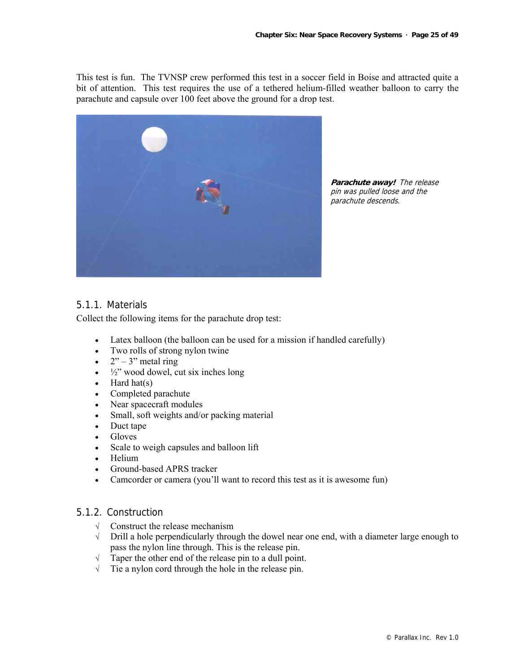This test is fun. The TVNSP crew performed this test in a soccer field in Boise and attracted quite a bit of attention. This test requires the use of a tethered helium-filled weather balloon to carry the parachute and capsule over 100 feet above the ground for a drop test.



**Parachute away!** The release pin was pulled loose and the parachute descends.

# 5.1.1. Materials

Collect the following items for the parachute drop test:

- Latex balloon (the balloon can be used for a mission if handled carefully)
- Two rolls of strong nylon twine
- $2^{\prime\prime}$  3" metal ring
- $\bullet$   $\frac{1}{2}$ " wood dowel, cut six inches long
- Hard hat(s)
- Completed parachute
- Near spacecraft modules
- Small, soft weights and/or packing material
- Duct tape
- Gloves
- Scale to weigh capsules and balloon lift
- Helium
- Ground-based APRS tracker
- Camcorder or camera (you'll want to record this test as it is awesome fun)

## 5.1.2. Construction

- √ Construct the release mechanism
- √ Drill a hole perpendicularly through the dowel near one end, with a diameter large enough to pass the nylon line through. This is the release pin.
- √ Taper the other end of the release pin to a dull point.
- √ Tie a nylon cord through the hole in the release pin.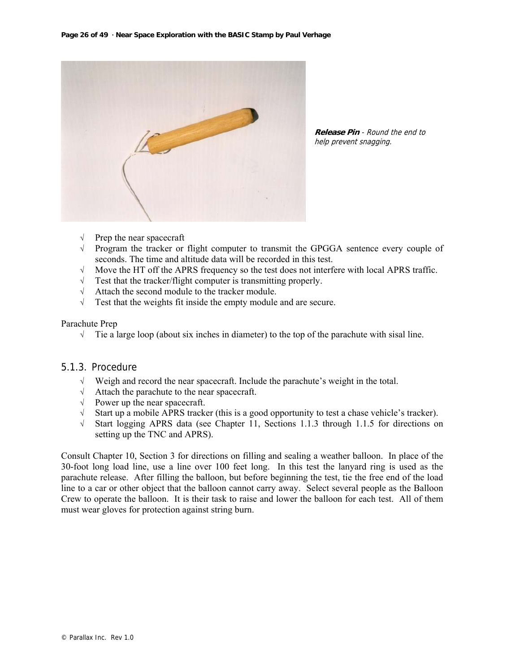

**Release Pin** - Round the end to help prevent snagging.

- √ Prep the near spacecraft
- √ Program the tracker or flight computer to transmit the GPGGA sentence every couple of seconds. The time and altitude data will be recorded in this test.
- $\sqrt{\phantom{a}}$  Move the HT off the APRS frequency so the test does not interfere with local APRS traffic.<br> $\sqrt{\phantom{a}}$  Test that the tracker/flight computer is transmitting properly.
- Test that the tracker/flight computer is transmitting properly.
- √ Attach the second module to the tracker module.
- $\sqrt{\phantom{a}}$  Test that the weights fit inside the empty module and are secure.

#### Parachute Prep

 $\sqrt{\phantom{a}}$  Tie a large loop (about six inches in diameter) to the top of the parachute with sisal line.

# 5.1.3. Procedure

- √ Weigh and record the near spacecraft. Include the parachute's weight in the total.
- √ Attach the parachute to the near spacecraft.
- √ Power up the near spacecraft.
- √ Start up a mobile APRS tracker (this is a good opportunity to test a chase vehicle's tracker).
- √ Start logging APRS data (see Chapter 11, Sections 1.1.3 through 1.1.5 for directions on setting up the TNC and APRS).

Consult Chapter 10, Section 3 for directions on filling and sealing a weather balloon. In place of the 30-foot long load line, use a line over 100 feet long. In this test the lanyard ring is used as the parachute release. After filling the balloon, but before beginning the test, tie the free end of the load line to a car or other object that the balloon cannot carry away. Select several people as the Balloon Crew to operate the balloon. It is their task to raise and lower the balloon for each test. All of them must wear gloves for protection against string burn.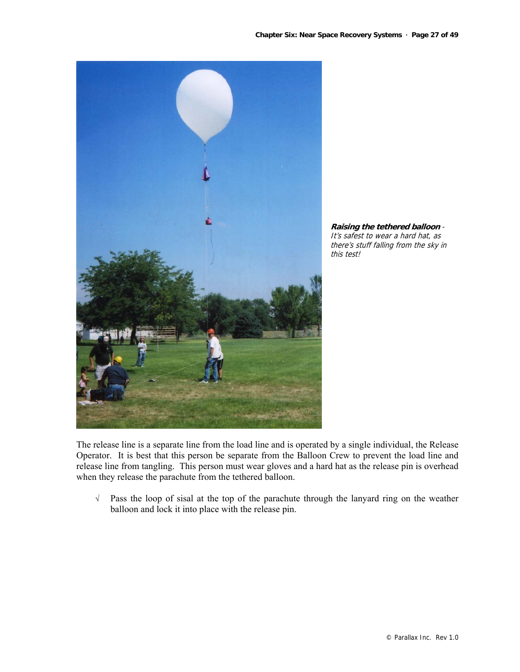



The release line is a separate line from the load line and is operated by a single individual, the Release Operator. It is best that this person be separate from the Balloon Crew to prevent the load line and release line from tangling. This person must wear gloves and a hard hat as the release pin is overhead when they release the parachute from the tethered balloon.

√ Pass the loop of sisal at the top of the parachute through the lanyard ring on the weather balloon and lock it into place with the release pin.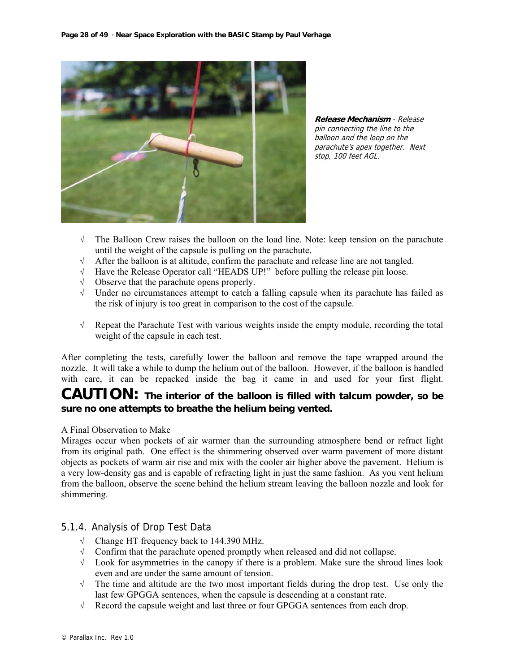

**Release Mechanism** - Release pin connecting the line to the balloon and the loop on the parachute's apex together. Next stop, 100 feet AGL.

- √ The Balloon Crew raises the balloon on the load line. Note: keep tension on the parachute until the weight of the capsule is pulling on the parachute.
- √ After the balloon is at altitude, confirm the parachute and release line are not tangled.
- √ Have the Release Operator call "HEADS UP!" before pulling the release pin loose.
- √ Observe that the parachute opens properly.
- √ Under no circumstances attempt to catch a falling capsule when its parachute has failed as the risk of injury is too great in comparison to the cost of the capsule.
- √ Repeat the Parachute Test with various weights inside the empty module, recording the total weight of the capsule in each test.

After completing the tests, carefully lower the balloon and remove the tape wrapped around the nozzle. It will take a while to dump the helium out of the balloon. However, if the balloon is handled with care, it can be repacked inside the bag it came in and used for your first flight.

# **CAUTION: The interior of the balloon is filled with talcum powder, so be sure no one attempts to breathe the helium being vented.**

## A Final Observation to Make

Mirages occur when pockets of air warmer than the surrounding atmosphere bend or refract light from its original path. One effect is the shimmering observed over warm pavement of more distant objects as pockets of warm air rise and mix with the cooler air higher above the pavement. Helium is a very low-density gas and is capable of refracting light in just the same fashion. As you vent helium from the balloon, observe the scene behind the helium stream leaving the balloon nozzle and look for shimmering.

# 5.1.4. Analysis of Drop Test Data

- √ Change HT frequency back to 144.390 MHz.
- √ Confirm that the parachute opened promptly when released and did not collapse.
- √ Look for asymmetries in the canopy if there is a problem. Make sure the shroud lines look even and are under the same amount of tension.
- √ The time and altitude are the two most important fields during the drop test. Use only the last few GPGGA sentences, when the capsule is descending at a constant rate.
- √ Record the capsule weight and last three or four GPGGA sentences from each drop.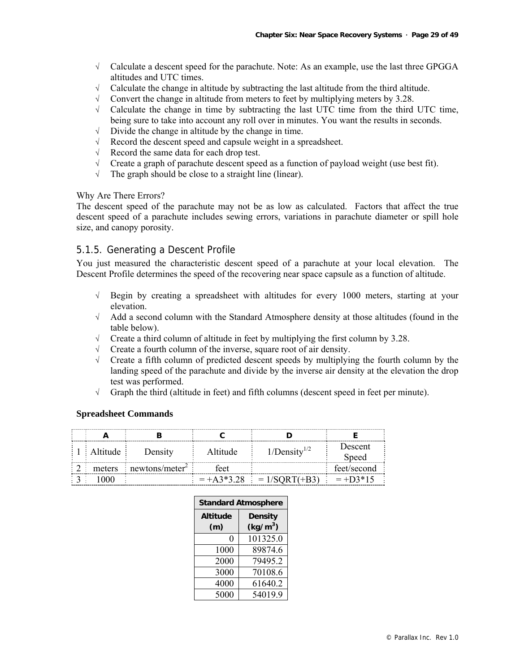- √ Calculate a descent speed for the parachute. Note: As an example, use the last three GPGGA altitudes and UTC times.
- √ Calculate the change in altitude by subtracting the last altitude from the third altitude.
- $\sqrt{\phantom{a}}$  Convert the change in altitude from meters to feet by multiplying meters by 3.28.
- $\sqrt{\phantom{a}}$  Calculate the change in time by subtracting the last UTC time from the third UTC time, being sure to take into account any roll over in minutes. You want the results in seconds.
- √ Divide the change in altitude by the change in time.
- √ Record the descent speed and capsule weight in a spreadsheet.
- √ Record the same data for each drop test.
- $\sqrt{\phantom{a}}$  Create a graph of parachute descent speed as a function of payload weight (use best fit).<br>  $\sqrt{\phantom{a}}$  The graph should be close to a straight line (linear).
- The graph should be close to a straight line (linear).

#### Why Are There Errors?

The descent speed of the parachute may not be as low as calculated. Factors that affect the true descent speed of a parachute includes sewing errors, variations in parachute diameter or spill hole size, and canopy porosity.

# 5.1.5. Generating a Descent Profile

You just measured the characteristic descent speed of a parachute at your local elevation. The Descent Profile determines the speed of the recovering near space capsule as a function of altitude.

- √ Begin by creating a spreadsheet with altitudes for every 1000 meters, starting at your elevation.
- √ Add a second column with the Standard Atmosphere density at those altitudes (found in the table below).
- √ Create a third column of altitude in feet by multiplying the first column by 3.28.
- √ Create a fourth column of the inverse, square root of air density.
- √ Create a fifth column of predicted descent speeds by multiplying the fourth column by the landing speed of the parachute and divide by the inverse air density at the elevation the drop test was performed.
- $\sqrt{\phantom{a}}$  Graph the third (altitude in feet) and fifth columns (descent speed in feet per minute).

#### **Spreadsheet Commands**

|                 | $\frac{1}{2}$ 1   Altitude | Density                                             | Altitude | $1/Density^{1/2}$                                                           | Descent<br>Speed |
|-----------------|----------------------------|-----------------------------------------------------|----------|-----------------------------------------------------------------------------|------------------|
|                 |                            | $\frac{1}{2}$ meters inewtons/meter <sup>2</sup> is | feet     |                                                                             | feet/second      |
| $\frac{1}{2}$ 3 | 1000                       |                                                     |          | $\frac{1}{2}$ = +A3*3.28 $\frac{1}{2}$ = 1/SQRT(+B3) $\frac{1}{2}$ = +D3*15 |                  |

|                 | <b>Standard Atmosphere</b> |  |  |
|-----------------|----------------------------|--|--|
| <b>Altitude</b> | <b>Density</b>             |  |  |
| (m)             | (kg/m <sup>3</sup> )       |  |  |
| 0               | 101325.0                   |  |  |
| 1000            | 89874.6                    |  |  |
| 2000            | 79495.2                    |  |  |
| 3000            | 70108.6                    |  |  |
| 4000            | 61640.2                    |  |  |
| 5000            | 54019.9                    |  |  |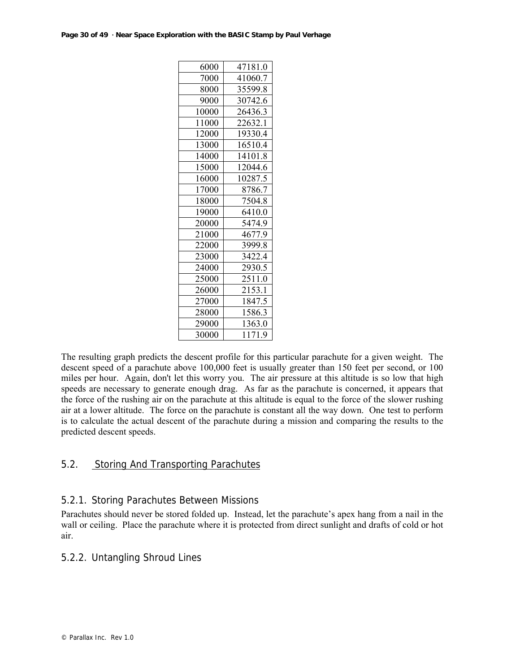| 6000  | 47181.0 |
|-------|---------|
| 7000  | 41060.7 |
| 8000  | 35599.8 |
| 9000  | 30742.6 |
| 10000 | 26436.3 |
| 11000 | 22632.1 |
| 12000 | 19330.4 |
| 13000 | 16510.4 |
| 14000 | 14101.8 |
| 15000 | 12044.6 |
| 16000 | 10287.5 |
| 17000 | 8786.7  |
| 18000 | 7504.8  |
| 19000 | 6410.0  |
| 20000 | 5474.9  |
| 21000 | 4677.9  |
| 22000 | 3999.8  |
| 23000 | 3422.4  |
| 24000 | 2930.5  |
| 25000 | 2511.0  |
| 26000 | 2153.1  |
| 27000 | 1847.5  |
| 28000 | 1586.3  |
| 29000 | 1363.0  |
| 30000 | 1171.9  |

The resulting graph predicts the descent profile for this particular parachute for a given weight. The descent speed of a parachute above 100,000 feet is usually greater than 150 feet per second, or 100 miles per hour. Again, don't let this worry you. The air pressure at this altitude is so low that high speeds are necessary to generate enough drag. As far as the parachute is concerned, it appears that the force of the rushing air on the parachute at this altitude is equal to the force of the slower rushing air at a lower altitude. The force on the parachute is constant all the way down. One test to perform is to calculate the actual descent of the parachute during a mission and comparing the results to the predicted descent speeds.

# 5.2. Storing And Transporting Parachutes

# 5.2.1. Storing Parachutes Between Missions

Parachutes should never be stored folded up. Instead, let the parachute's apex hang from a nail in the wall or ceiling. Place the parachute where it is protected from direct sunlight and drafts of cold or hot air.

# 5.2.2. Untangling Shroud Lines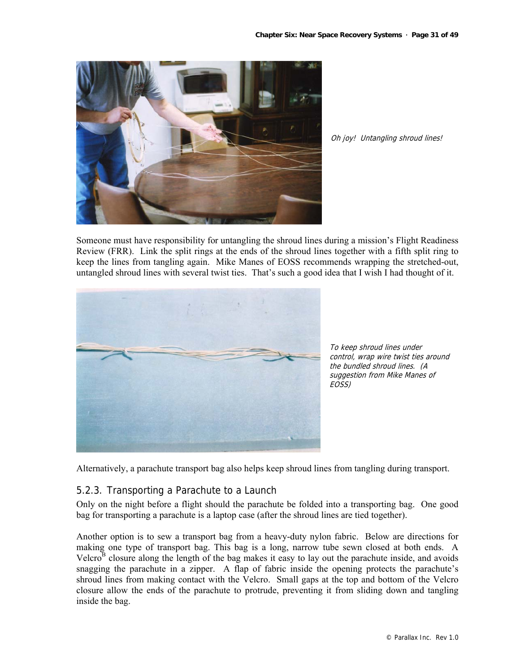

Oh joy! Untangling shroud lines!

Someone must have responsibility for untangling the shroud lines during a mission's Flight Readiness Review (FRR). Link the split rings at the ends of the shroud lines together with a fifth split ring to keep the lines from tangling again. Mike Manes of EOSS recommends wrapping the stretched-out, untangled shroud lines with several twist ties. That's such a good idea that I wish I had thought of it.



To keep shroud lines under control, wrap wire twist ties around the bundled shroud lines. (A suggestion from Mike Manes of EOSS)

Alternatively, a parachute transport bag also helps keep shroud lines from tangling during transport.

# 5.2.3. Transporting a Parachute to a Launch

Only on the night before a flight should the parachute be folded into a transporting bag. One good bag for transporting a parachute is a laptop case (after the shroud lines are tied together).

Another option is to sew a transport bag from a heavy-duty nylon fabric. Below are directions for making one type of transport bag. This bag is a long, narrow tube sewn closed at both ends. A Velcro<sup>B</sup> closure along the length of the bag makes it easy to lay out the parachute inside, and avoids snagging the parachute in a zipper. A flap of fabric inside the opening protects the parachute's shroud lines from making contact with the Velcro. Small gaps at the top and bottom of the Velcro closure allow the ends of the parachute to protrude, preventing it from sliding down and tangling inside the bag.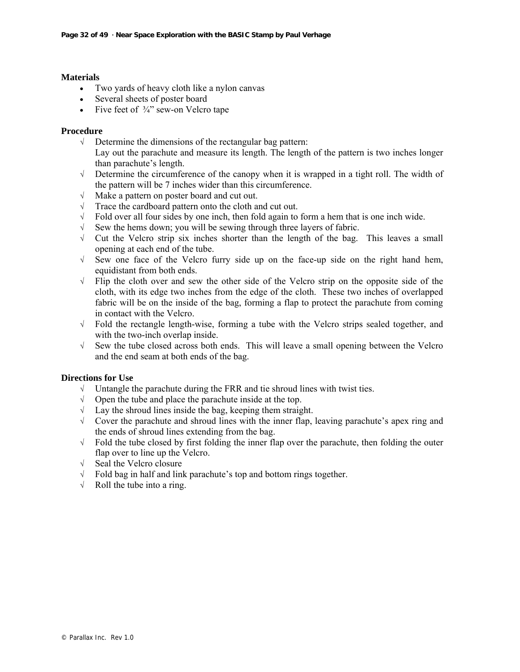#### **Materials**

- Two yards of heavy cloth like a nylon canvas
- Several sheets of poster board
- Five feet of  $\frac{3}{4}$ " sew-on Velcro tape

#### **Procedure**

- √ Determine the dimensions of the rectangular bag pattern:
	- Lay out the parachute and measure its length. The length of the pattern is two inches longer than parachute's length.
- √ Determine the circumference of the canopy when it is wrapped in a tight roll. The width of the pattern will be 7 inches wider than this circumference.
- √ Make a pattern on poster board and cut out.
- Trace the cardboard pattern onto the cloth and cut out.
- $\sqrt{\phantom{a}}$  Fold over all four sides by one inch, then fold again to form a hem that is one inch wide.
- √ Sew the hems down; you will be sewing through three layers of fabric.
- √ Cut the Velcro strip six inches shorter than the length of the bag. This leaves a small opening at each end of the tube.
- √ Sew one face of the Velcro furry side up on the face-up side on the right hand hem, equidistant from both ends.
- √ Flip the cloth over and sew the other side of the Velcro strip on the opposite side of the cloth, with its edge two inches from the edge of the cloth. These two inches of overlapped fabric will be on the inside of the bag, forming a flap to protect the parachute from coming in contact with the Velcro.
- √ Fold the rectangle length-wise, forming a tube with the Velcro strips sealed together, and with the two-inch overlap inside.
- √ Sew the tube closed across both ends. This will leave a small opening between the Velcro and the end seam at both ends of the bag.

## **Directions for Use**

- $\sqrt{\phantom{a}}$  Untangle the parachute during the FRR and tie shroud lines with twist ties.<br>  $\sqrt{\phantom{a}}$  Open the tube and place the parachute inside at the top
- √ Open the tube and place the parachute inside at the top.
- $\sqrt{\phantom{a}}$  Lay the shroud lines inside the bag, keeping them straight.
- √ Cover the parachute and shroud lines with the inner flap, leaving parachute's apex ring and the ends of shroud lines extending from the bag.
- $\sqrt{\phantom{a}}$  Fold the tube closed by first folding the inner flap over the parachute, then folding the outer flap over to line up the Velcro.
- √ Seal the Velcro closure
- √ Fold bag in half and link parachute's top and bottom rings together.
- $\sqrt{\phantom{a}}$  Roll the tube into a ring.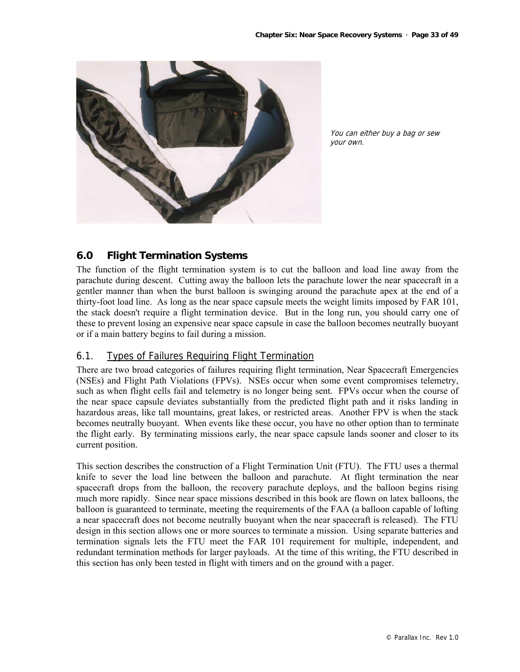

You can either buy a bag or sew your own.

# **6.0 Flight Termination Systems**

The function of the flight termination system is to cut the balloon and load line away from the parachute during descent. Cutting away the balloon lets the parachute lower the near spacecraft in a gentler manner than when the burst balloon is swinging around the parachute apex at the end of a thirty-foot load line. As long as the near space capsule meets the weight limits imposed by FAR 101, the stack doesn't require a flight termination device. But in the long run, you should carry one of these to prevent losing an expensive near space capsule in case the balloon becomes neutrally buoyant or if a main battery begins to fail during a mission.

# 6.1. Types of Failures Requiring Flight Termination

There are two broad categories of failures requiring flight termination, Near Spacecraft Emergencies (NSEs) and Flight Path Violations (FPVs). NSEs occur when some event compromises telemetry, such as when flight cells fail and telemetry is no longer being sent. FPVs occur when the course of the near space capsule deviates substantially from the predicted flight path and it risks landing in hazardous areas, like tall mountains, great lakes, or restricted areas. Another FPV is when the stack becomes neutrally buoyant. When events like these occur, you have no other option than to terminate the flight early. By terminating missions early, the near space capsule lands sooner and closer to its current position.

This section describes the construction of a Flight Termination Unit (FTU). The FTU uses a thermal knife to sever the load line between the balloon and parachute. At flight termination the near spacecraft drops from the balloon, the recovery parachute deploys, and the balloon begins rising much more rapidly. Since near space missions described in this book are flown on latex balloons, the balloon is guaranteed to terminate, meeting the requirements of the FAA (a balloon capable of lofting a near spacecraft does not become neutrally buoyant when the near spacecraft is released). The FTU design in this section allows one or more sources to terminate a mission. Using separate batteries and termination signals lets the FTU meet the FAR 101 requirement for multiple, independent, and redundant termination methods for larger payloads. At the time of this writing, the FTU described in this section has only been tested in flight with timers and on the ground with a pager.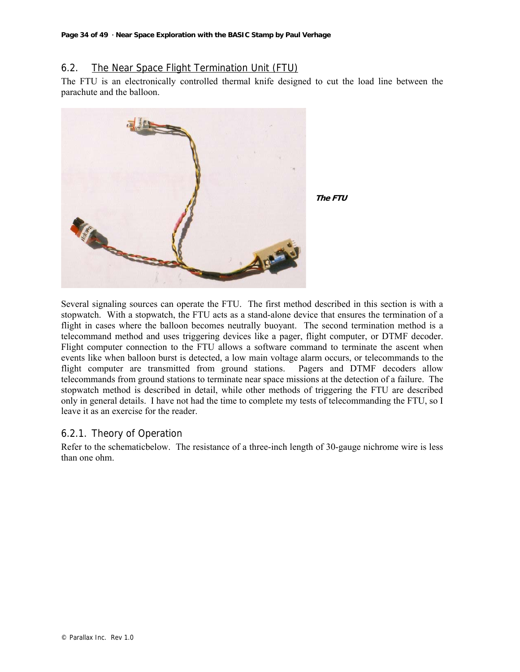# 6.2. The Near Space Flight Termination Unit (FTU)

The FTU is an electronically controlled thermal knife designed to cut the load line between the parachute and the balloon.



Several signaling sources can operate the FTU. The first method described in this section is with a stopwatch. With a stopwatch, the FTU acts as a stand-alone device that ensures the termination of a flight in cases where the balloon becomes neutrally buoyant. The second termination method is a telecommand method and uses triggering devices like a pager, flight computer, or DTMF decoder. Flight computer connection to the FTU allows a software command to terminate the ascent when events like when balloon burst is detected, a low main voltage alarm occurs, or telecommands to the flight computer are transmitted from ground stations. Pagers and DTMF decoders allow telecommands from ground stations to terminate near space missions at the detection of a failure. The stopwatch method is described in detail, while other methods of triggering the FTU are described only in general details. I have not had the time to complete my tests of telecommanding the FTU, so I leave it as an exercise for the reader.

# 6.2.1. Theory of Operation

Refer to the schematicbelow. The resistance of a three-inch length of 30-gauge nichrome wire is less than one ohm.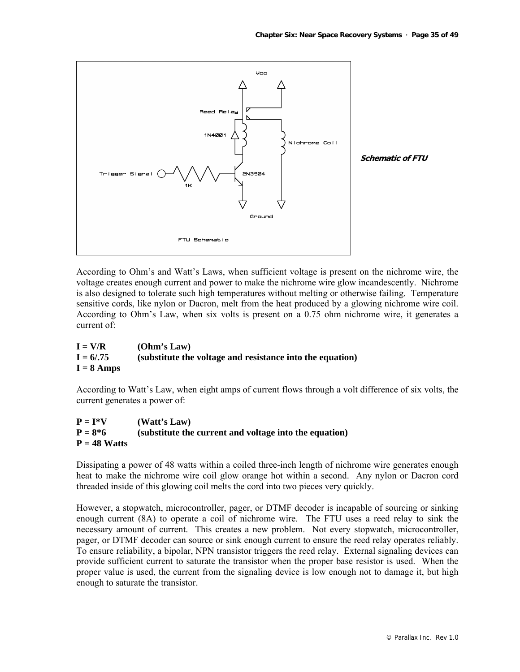

According to Ohm's and Watt's Laws, when sufficient voltage is present on the nichrome wire, the voltage creates enough current and power to make the nichrome wire glow incandescently. Nichrome is also designed to tolerate such high temperatures without melting or otherwise failing. Temperature sensitive cords, like nylon or Dacron, melt from the heat produced by a glowing nichrome wire coil. According to Ohm's Law, when six volts is present on a 0.75 ohm nichrome wire, it generates a current of:

| $I = V/R$    | (Ohm's Law)                                               |
|--------------|-----------------------------------------------------------|
| $I = 6/0.75$ | (substitute the voltage and resistance into the equation) |
| $I = 8$ Amps |                                                           |

According to Watt's Law, when eight amps of current flows through a volt difference of six volts, the current generates a power of:

| $P = I*V$      | (Watt's Law)                                           |
|----------------|--------------------------------------------------------|
| $P = 8*6$      | (substitute the current and voltage into the equation) |
| $P = 48$ Watts |                                                        |

Dissipating a power of 48 watts within a coiled three-inch length of nichrome wire generates enough heat to make the nichrome wire coil glow orange hot within a second. Any nylon or Dacron cord threaded inside of this glowing coil melts the cord into two pieces very quickly.

However, a stopwatch, microcontroller, pager, or DTMF decoder is incapable of sourcing or sinking enough current (8A) to operate a coil of nichrome wire. The FTU uses a reed relay to sink the necessary amount of current. This creates a new problem. Not every stopwatch, microcontroller, pager, or DTMF decoder can source or sink enough current to ensure the reed relay operates reliably. To ensure reliability, a bipolar, NPN transistor triggers the reed relay. External signaling devices can provide sufficient current to saturate the transistor when the proper base resistor is used. When the proper value is used, the current from the signaling device is low enough not to damage it, but high enough to saturate the transistor.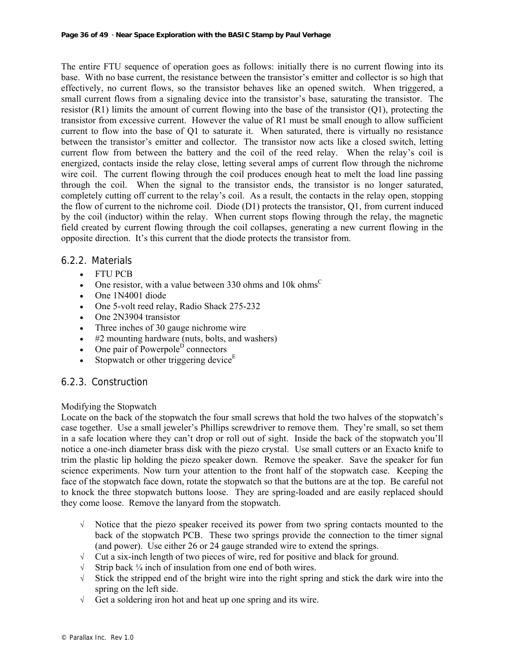The entire FTU sequence of operation goes as follows: initially there is no current flowing into its base. With no base current, the resistance between the transistor's emitter and collector is so high that effectively, no current flows, so the transistor behaves like an opened switch. When triggered, a small current flows from a signaling device into the transistor's base, saturating the transistor. The resistor (R1) limits the amount of current flowing into the base of the transistor (Q1), protecting the transistor from excessive current. However the value of R1 must be small enough to allow sufficient current to flow into the base of Q1 to saturate it. When saturated, there is virtually no resistance between the transistor's emitter and collector. The transistor now acts like a closed switch, letting current flow from between the battery and the coil of the reed relay. When the relay's coil is energized, contacts inside the relay close, letting several amps of current flow through the nichrome wire coil. The current flowing through the coil produces enough heat to melt the load line passing through the coil. When the signal to the transistor ends, the transistor is no longer saturated, completely cutting off current to the relay's coil. As a result, the contacts in the relay open, stopping the flow of current to the nichrome coil. Diode (D1) protects the transistor, Q1, from current induced by the coil (inductor) within the relay. When current stops flowing through the relay, the magnetic field created by current flowing through the coil collapses, generating a new current flowing in the opposite direction. It's this current that the diode protects the transistor from.

# 6.2.2. Materials

- FTU PCB
- One resistor, with a value between 330 ohms and 10k ohms<sup>C</sup>
- One 1N4001 diode
- One 5-volt reed relay, Radio Shack 275-232
- One 2N3904 transistor
- Three inches of 30 gauge nichrome wire
- #2 mounting hardware (nuts, bolts, and washers)
- One pair of Powerpole<sup>D</sup> connectors
- Stopwatch or other triggering device<sup>E</sup>

# 6.2.3. Construction

## Modifying the Stopwatch

Locate on the back of the stopwatch the four small screws that hold the two halves of the stopwatch's case together. Use a small jeweler's Phillips screwdriver to remove them. They're small, so set them in a safe location where they can't drop or roll out of sight. Inside the back of the stopwatch you'll notice a one-inch diameter brass disk with the piezo crystal. Use small cutters or an Exacto knife to trim the plastic lip holding the piezo speaker down. Remove the speaker. Save the speaker for fun science experiments. Now turn your attention to the front half of the stopwatch case. Keeping the face of the stopwatch face down, rotate the stopwatch so that the buttons are at the top. Be careful not to knock the three stopwatch buttons loose. They are spring-loaded and are easily replaced should they come loose. Remove the lanyard from the stopwatch.

- √ Notice that the piezo speaker received its power from two spring contacts mounted to the back of the stopwatch PCB. These two springs provide the connection to the timer signal (and power). Use either 26 or 24 gauge stranded wire to extend the springs.
- √ Cut a six-inch length of two pieces of wire, red for positive and black for ground.
- √ Strip back ¼ inch of insulation from one end of both wires.
- $\sqrt{\phantom{a}}$  Stick the stripped end of the bright wire into the right spring and stick the dark wire into the spring on the left side.
- √ Get a soldering iron hot and heat up one spring and its wire.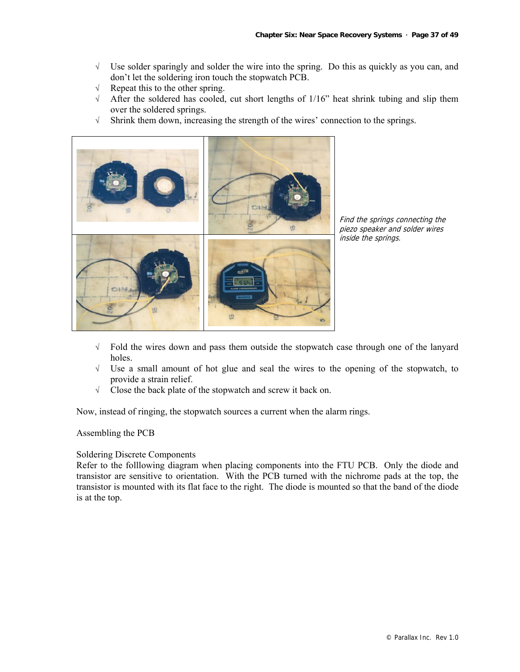- √ Use solder sparingly and solder the wire into the spring. Do this as quickly as you can, and don't let the soldering iron touch the stopwatch PCB.
- √ Repeat this to the other spring.
- $\sqrt{\phantom{a}}$  After the soldered has cooled, cut short lengths of 1/16" heat shrink tubing and slip them over the soldered springs.
- √ Shrink them down, increasing the strength of the wires' connection to the springs.



Find the springs connecting the piezo speaker and solder wires inside the springs.

- √ Fold the wires down and pass them outside the stopwatch case through one of the lanyard holes.
- √ Use a small amount of hot glue and seal the wires to the opening of the stopwatch, to provide a strain relief.
- √ Close the back plate of the stopwatch and screw it back on.

Now, instead of ringing, the stopwatch sources a current when the alarm rings.

#### Assembling the PCB

#### Soldering Discrete Components

Refer to the folllowing diagram when placing components into the FTU PCB. Only the diode and transistor are sensitive to orientation. With the PCB turned with the nichrome pads at the top, the transistor is mounted with its flat face to the right. The diode is mounted so that the band of the diode is at the top.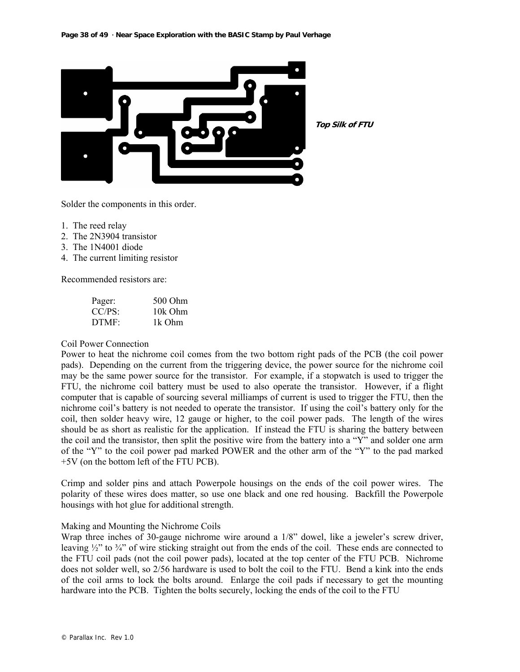

**Top Silk of FTU**

Solder the components in this order.

- 1. The reed relay
- 2. The 2N3904 transistor
- 3. The 1N4001 diode
- 4. The current limiting resistor

Recommended resistors are:

| Pager: | 500 Ohm |
|--------|---------|
| CC/PS: | 10k Ohm |
| DTMF:  | 1k Ohm  |

#### Coil Power Connection

Power to heat the nichrome coil comes from the two bottom right pads of the PCB (the coil power pads). Depending on the current from the triggering device, the power source for the nichrome coil may be the same power source for the transistor. For example, if a stopwatch is used to trigger the FTU, the nichrome coil battery must be used to also operate the transistor. However, if a flight computer that is capable of sourcing several milliamps of current is used to trigger the FTU, then the nichrome coil's battery is not needed to operate the transistor. If using the coil's battery only for the coil, then solder heavy wire, 12 gauge or higher, to the coil power pads. The length of the wires should be as short as realistic for the application. If instead the FTU is sharing the battery between the coil and the transistor, then split the positive wire from the battery into a "Y" and solder one arm of the "Y" to the coil power pad marked POWER and the other arm of the "Y" to the pad marked +5V (on the bottom left of the FTU PCB).

Crimp and solder pins and attach Powerpole housings on the ends of the coil power wires. The polarity of these wires does matter, so use one black and one red housing. Backfill the Powerpole housings with hot glue for additional strength.

#### Making and Mounting the Nichrome Coils

Wrap three inches of 30-gauge nichrome wire around a 1/8" dowel, like a jeweler's screw driver, leaving  $\frac{1}{2}$ " to  $\frac{3}{4}$ " of wire sticking straight out from the ends of the coil. These ends are connected to the FTU coil pads (not the coil power pads), located at the top center of the FTU PCB. Nichrome does not solder well, so 2/56 hardware is used to bolt the coil to the FTU. Bend a kink into the ends of the coil arms to lock the bolts around. Enlarge the coil pads if necessary to get the mounting hardware into the PCB. Tighten the bolts securely, locking the ends of the coil to the FTU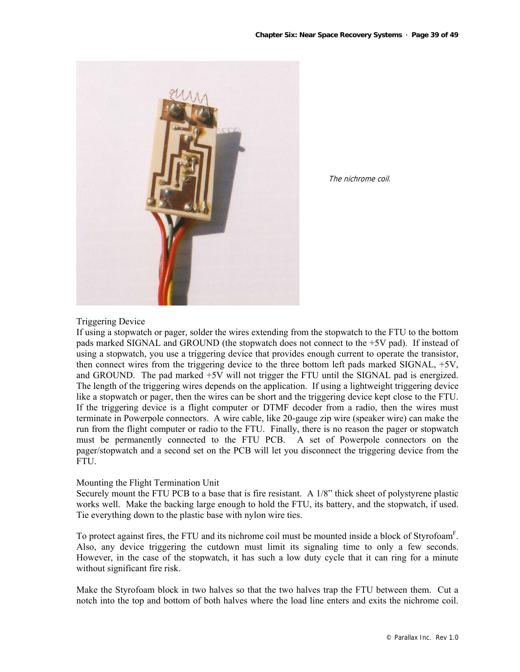

The nichrome coil.

# Triggering Device

If using a stopwatch or pager, solder the wires extending from the stopwatch to the FTU to the bottom pads marked SIGNAL and GROUND (the stopwatch does not connect to the +5V pad). If instead of using a stopwatch, you use a triggering device that provides enough current to operate the transistor, then connect wires from the triggering device to the three bottom left pads marked SIGNAL, +5V, and GROUND. The pad marked +5V will not trigger the FTU until the SIGNAL pad is energized. The length of the triggering wires depends on the application. If using a lightweight triggering device like a stopwatch or pager, then the wires can be short and the triggering device kept close to the FTU. If the triggering device is a flight computer or DTMF decoder from a radio, then the wires must terminate in Powerpole connectors. A wire cable, like 20-gauge zip wire (speaker wire) can make the run from the flight computer or radio to the FTU. Finally, there is no reason the pager or stopwatch must be permanently connected to the FTU PCB. A set of Powerpole connectors on the pager/stopwatch and a second set on the PCB will let you disconnect the triggering device from the FTU.

#### Mounting the Flight Termination Unit

Securely mount the FTU PCB to a base that is fire resistant. A 1/8" thick sheet of polystyrene plastic works well. Make the backing large enough to hold the FTU, its battery, and the stopwatch, if used. Tie everything down to the plastic base with nylon wire ties.

To protect against fires, the FTU and its nichrome coil must be mounted inside a block of Styrofoam<sup>F</sup>. Also, any device triggering the cutdown must limit its signaling time to only a few seconds. However, in the case of the stopwatch, it has such a low duty cycle that it can ring for a minute without significant fire risk.

Make the Styrofoam block in two halves so that the two halves trap the FTU between them. Cut a notch into the top and bottom of both halves where the load line enters and exits the nichrome coil.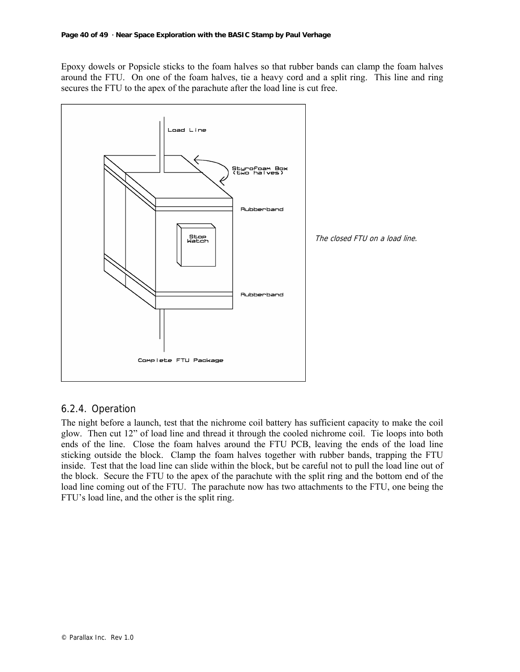Epoxy dowels or Popsicle sticks to the foam halves so that rubber bands can clamp the foam halves around the FTU. On one of the foam halves, tie a heavy cord and a split ring. This line and ring secures the FTU to the apex of the parachute after the load line is cut free.



# 6.2.4. Operation

The night before a launch, test that the nichrome coil battery has sufficient capacity to make the coil glow. Then cut 12" of load line and thread it through the cooled nichrome coil. Tie loops into both ends of the line. Close the foam halves around the FTU PCB, leaving the ends of the load line sticking outside the block. Clamp the foam halves together with rubber bands, trapping the FTU inside. Test that the load line can slide within the block, but be careful not to pull the load line out of the block. Secure the FTU to the apex of the parachute with the split ring and the bottom end of the load line coming out of the FTU. The parachute now has two attachments to the FTU, one being the FTU's load line, and the other is the split ring.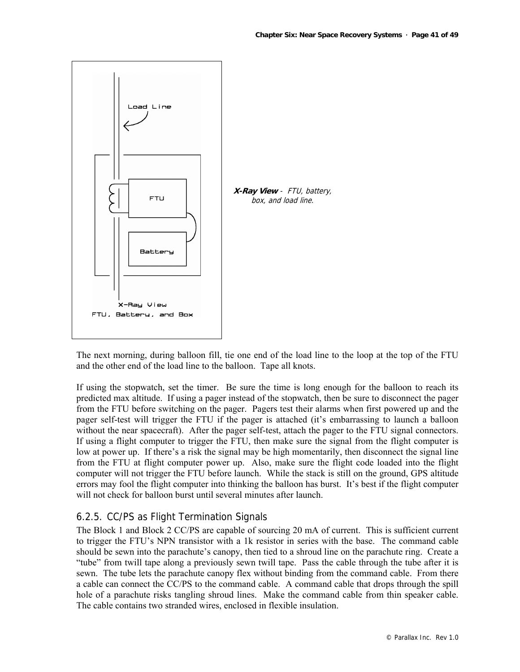

The next morning, during balloon fill, tie one end of the load line to the loop at the top of the FTU and the other end of the load line to the balloon. Tape all knots.

If using the stopwatch, set the timer. Be sure the time is long enough for the balloon to reach its predicted max altitude. If using a pager instead of the stopwatch, then be sure to disconnect the pager from the FTU before switching on the pager. Pagers test their alarms when first powered up and the pager self-test will trigger the FTU if the pager is attached (it's embarrassing to launch a balloon without the near spacecraft). After the pager self-test, attach the pager to the FTU signal connectors. If using a flight computer to trigger the FTU, then make sure the signal from the flight computer is low at power up. If there's a risk the signal may be high momentarily, then disconnect the signal line from the FTU at flight computer power up. Also, make sure the flight code loaded into the flight computer will not trigger the FTU before launch. While the stack is still on the ground, GPS altitude errors may fool the flight computer into thinking the balloon has burst. It's best if the flight computer will not check for balloon burst until several minutes after launch.

# 6.2.5. CC/PS as Flight Termination Signals

The Block 1 and Block 2 CC/PS are capable of sourcing 20 mA of current. This is sufficient current to trigger the FTU's NPN transistor with a 1k resistor in series with the base. The command cable should be sewn into the parachute's canopy, then tied to a shroud line on the parachute ring. Create a "tube" from twill tape along a previously sewn twill tape. Pass the cable through the tube after it is sewn. The tube lets the parachute canopy flex without binding from the command cable. From there a cable can connect the CC/PS to the command cable. A command cable that drops through the spill hole of a parachute risks tangling shroud lines. Make the command cable from thin speaker cable. The cable contains two stranded wires, enclosed in flexible insulation.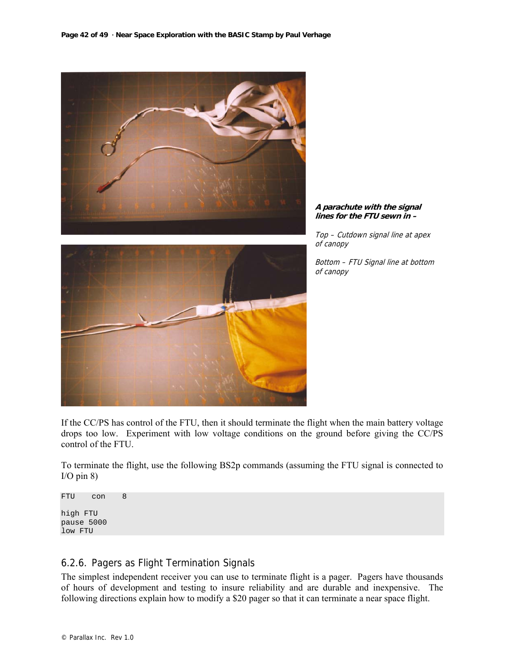

**A parachute with the signal lines for the FTU sewn in –** 

Top – Cutdown signal line at apex of canopy

Bottom – FTU Signal line at bottom of canopy



If the CC/PS has control of the FTU, then it should terminate the flight when the main battery voltage drops too low. Experiment with low voltage conditions on the ground before giving the CC/PS control of the FTU.

To terminate the flight, use the following BS2p commands (assuming the FTU signal is connected to  $I/O$  pin  $8$ )

FTU con 8 high FTU pause 5000 low FTU

# 6.2.6. Pagers as Flight Termination Signals

The simplest independent receiver you can use to terminate flight is a pager. Pagers have thousands of hours of development and testing to insure reliability and are durable and inexpensive. The following directions explain how to modify a \$20 pager so that it can terminate a near space flight.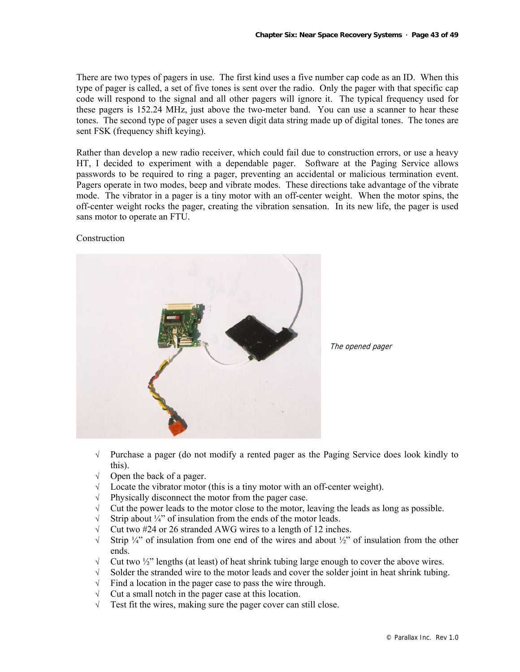There are two types of pagers in use. The first kind uses a five number cap code as an ID. When this type of pager is called, a set of five tones is sent over the radio. Only the pager with that specific cap code will respond to the signal and all other pagers will ignore it. The typical frequency used for these pagers is 152.24 MHz, just above the two-meter band. You can use a scanner to hear these tones. The second type of pager uses a seven digit data string made up of digital tones. The tones are sent FSK (frequency shift keying).

Rather than develop a new radio receiver, which could fail due to construction errors, or use a heavy HT, I decided to experiment with a dependable pager. Software at the Paging Service allows passwords to be required to ring a pager, preventing an accidental or malicious termination event. Pagers operate in two modes, beep and vibrate modes. These directions take advantage of the vibrate mode. The vibrator in a pager is a tiny motor with an off-center weight. When the motor spins, the off-center weight rocks the pager, creating the vibration sensation. In its new life, the pager is used sans motor to operate an FTU.

#### Construction



The opened pager

- √ Purchase a pager (do not modify a rented pager as the Paging Service does look kindly to this).
- √ Open the back of a pager.
- √ Locate the vibrator motor (this is a tiny motor with an off-center weight).
- √ Physically disconnect the motor from the pager case.
- $\sqrt{\phantom{a}}$  Cut the power leads to the motor close to the motor, leaving the leads as long as possible.
- √ Strip about ¼" of insulation from the ends of the motor leads.
- √ Cut two #24 or 26 stranded AWG wires to a length of 12 inches.
- $\sqrt{\phantom{a}}$  Strip ¼" of insulation from one end of the wires and about ¼" of insulation from the other ends.
- $\sqrt{\phantom{a}}$  Cut two  $\frac{1}{2}$  lengths (at least) of heat shrink tubing large enough to cover the above wires.
- √ Solder the stranded wire to the motor leads and cover the solder joint in heat shrink tubing.
- √ Find a location in the pager case to pass the wire through.
- $\sqrt{\phantom{a}}$  Cut a small notch in the pager case at this location.
- $\sqrt{\phantom{a}}$  Test fit the wires, making sure the pager cover can still close.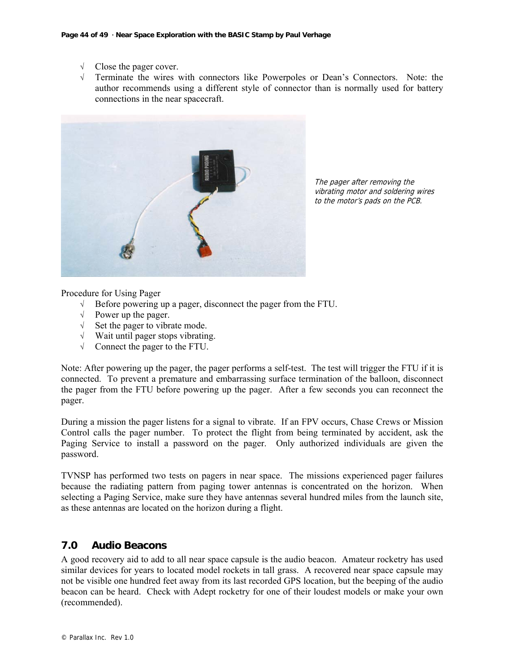- $\sqrt{\frac{1}{\text{C}}\times \text{C}}$  Close the pager cover.
- Terminate the wires with connectors like Powerpoles or Dean's Connectors. Note: the author recommends using a different style of connector than is normally used for battery connections in the near spacecraft.



The pager after removing the vibrating motor and soldering wires to the motor's pads on the PCB.

Procedure for Using Pager

- √ Before powering up a pager, disconnect the pager from the FTU.
- $\sqrt{\phantom{a}}$  Power up the pager.
- √ Set the pager to vibrate mode.
- √ Wait until pager stops vibrating.
- √ Connect the pager to the FTU.

Note: After powering up the pager, the pager performs a self-test. The test will trigger the FTU if it is connected. To prevent a premature and embarrassing surface termination of the balloon, disconnect the pager from the FTU before powering up the pager. After a few seconds you can reconnect the pager.

During a mission the pager listens for a signal to vibrate. If an FPV occurs, Chase Crews or Mission Control calls the pager number. To protect the flight from being terminated by accident, ask the Paging Service to install a password on the pager. Only authorized individuals are given the password.

TVNSP has performed two tests on pagers in near space. The missions experienced pager failures because the radiating pattern from paging tower antennas is concentrated on the horizon. When selecting a Paging Service, make sure they have antennas several hundred miles from the launch site, as these antennas are located on the horizon during a flight.

# **7.0 Audio Beacons**

A good recovery aid to add to all near space capsule is the audio beacon. Amateur rocketry has used similar devices for years to located model rockets in tall grass. A recovered near space capsule may not be visible one hundred feet away from its last recorded GPS location, but the beeping of the audio beacon can be heard. Check with Adept rocketry for one of their loudest models or make your own (recommended).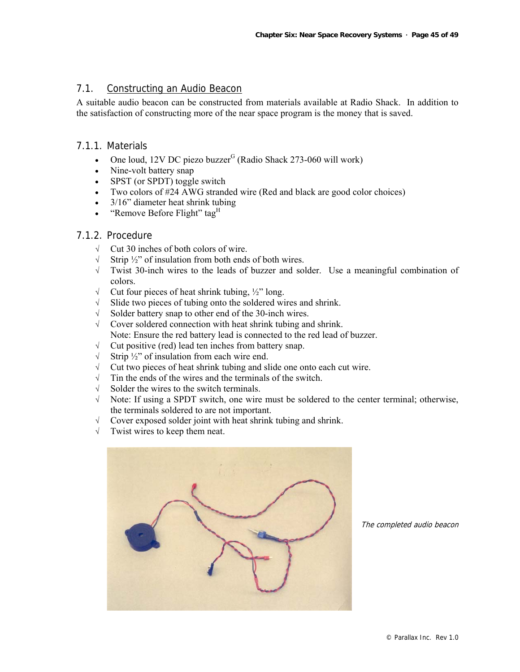# 7.1. Constructing an Audio Beacon

A suitable audio beacon can be constructed from materials available at Radio Shack. In addition to the satisfaction of constructing more of the near space program is the money that is saved.

# 7.1.1. Materials

- One loud,  $12V$  DC piezo buzzer<sup>G</sup> (Radio Shack 273-060 will work)
- Nine-volt battery snap
- SPST (or SPDT) toggle switch
- Two colors of #24 AWG stranded wire (Red and black are good color choices)
- 3/16" diameter heat shrink tubing
- "Remove Before Flight" tag<sup>H</sup>

# 7.1.2. Procedure

- √ Cut 30 inches of both colors of wire.
- √ Strip ½" of insulation from both ends of both wires.
- √ Twist 30-inch wires to the leads of buzzer and solder. Use a meaningful combination of colors.
- √ Cut four pieces of heat shrink tubing, ½" long.
- √ Slide two pieces of tubing onto the soldered wires and shrink.
- √ Solder battery snap to other end of the 30-inch wires.
- √ Cover soldered connection with heat shrink tubing and shrink. Note: Ensure the red battery lead is connected to the red lead of buzzer.
- √ Cut positive (red) lead ten inches from battery snap.
- √ Strip ½" of insulation from each wire end.
- √ Cut two pieces of heat shrink tubing and slide one onto each cut wire.
- √ Tin the ends of the wires and the terminals of the switch.
- √ Solder the wires to the switch terminals.
- √ Note: If using a SPDT switch, one wire must be soldered to the center terminal; otherwise, the terminals soldered to are not important.
- √ Cover exposed solder joint with heat shrink tubing and shrink.
- √ Twist wires to keep them neat.



The completed audio beacon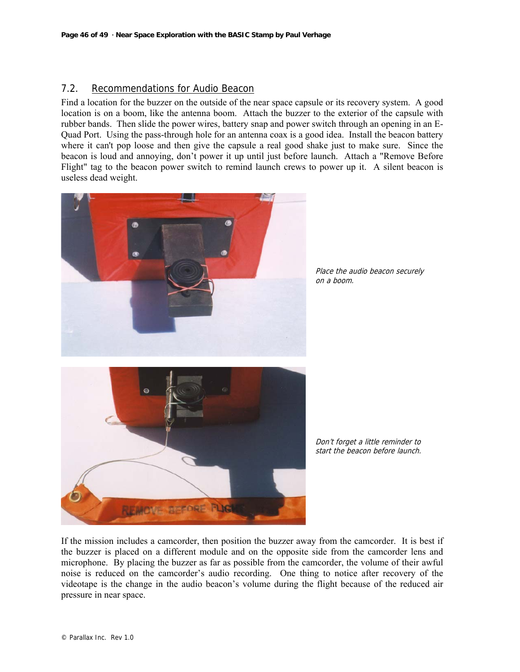# 7.2. Recommendations for Audio Beacon

Find a location for the buzzer on the outside of the near space capsule or its recovery system. A good location is on a boom, like the antenna boom. Attach the buzzer to the exterior of the capsule with rubber bands. Then slide the power wires, battery snap and power switch through an opening in an E-Quad Port. Using the pass-through hole for an antenna coax is a good idea. Install the beacon battery where it can't pop loose and then give the capsule a real good shake just to make sure. Since the beacon is loud and annoying, don't power it up until just before launch. Attach a "Remove Before Flight" tag to the beacon power switch to remind launch crews to power up it. A silent beacon is useless dead weight.



Place the audio beacon securely on a boom.



Don't forget a little reminder to start the beacon before launch.

If the mission includes a camcorder, then position the buzzer away from the camcorder. It is best if the buzzer is placed on a different module and on the opposite side from the camcorder lens and microphone. By placing the buzzer as far as possible from the camcorder, the volume of their awful noise is reduced on the camcorder's audio recording. One thing to notice after recovery of the videotape is the change in the audio beacon's volume during the flight because of the reduced air pressure in near space.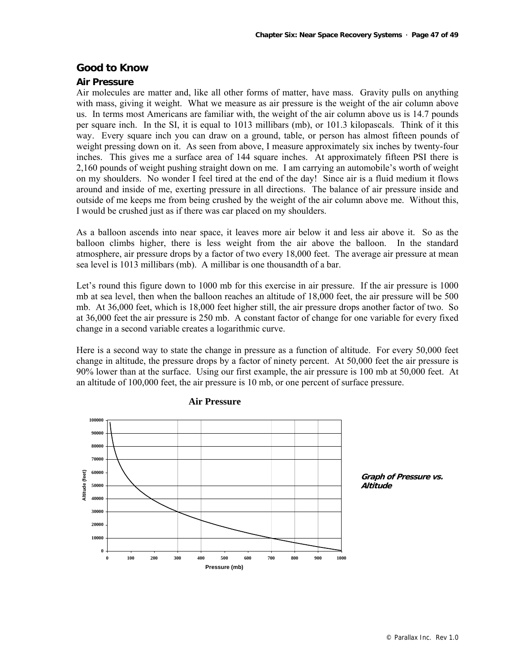# **Good to Know**

#### **Air Pressure**

Air molecules are matter and, like all other forms of matter, have mass. Gravity pulls on anything with mass, giving it weight. What we measure as air pressure is the weight of the air column above us. In terms most Americans are familiar with, the weight of the air column above us is 14.7 pounds per square inch. In the SI, it is equal to 1013 millibars (mb), or 101.3 kilopascals. Think of it this way. Every square inch you can draw on a ground, table, or person has almost fifteen pounds of weight pressing down on it. As seen from above, I measure approximately six inches by twenty-four inches. This gives me a surface area of 144 square inches. At approximately fifteen PSI there is 2,160 pounds of weight pushing straight down on me. I am carrying an automobile's worth of weight on my shoulders. No wonder I feel tired at the end of the day! Since air is a fluid medium it flows around and inside of me, exerting pressure in all directions. The balance of air pressure inside and outside of me keeps me from being crushed by the weight of the air column above me. Without this, I would be crushed just as if there was car placed on my shoulders.

As a balloon ascends into near space, it leaves more air below it and less air above it. So as the balloon climbs higher, there is less weight from the air above the balloon. In the standard atmosphere, air pressure drops by a factor of two every 18,000 feet. The average air pressure at mean sea level is 1013 millibars (mb). A millibar is one thousandth of a bar.

Let's round this figure down to 1000 mb for this exercise in air pressure. If the air pressure is 1000 mb at sea level, then when the balloon reaches an altitude of 18,000 feet, the air pressure will be 500 mb. At 36,000 feet, which is 18,000 feet higher still, the air pressure drops another factor of two. So at 36,000 feet the air pressure is 250 mb. A constant factor of change for one variable for every fixed change in a second variable creates a logarithmic curve.

Here is a second way to state the change in pressure as a function of altitude. For every 50,000 feet change in altitude, the pressure drops by a factor of ninety percent. At 50,000 feet the air pressure is 90% lower than at the surface. Using our first example, the air pressure is 100 mb at 50,000 feet. At an altitude of 100,000 feet, the air pressure is 10 mb, or one percent of surface pressure.



#### **Air Pressure**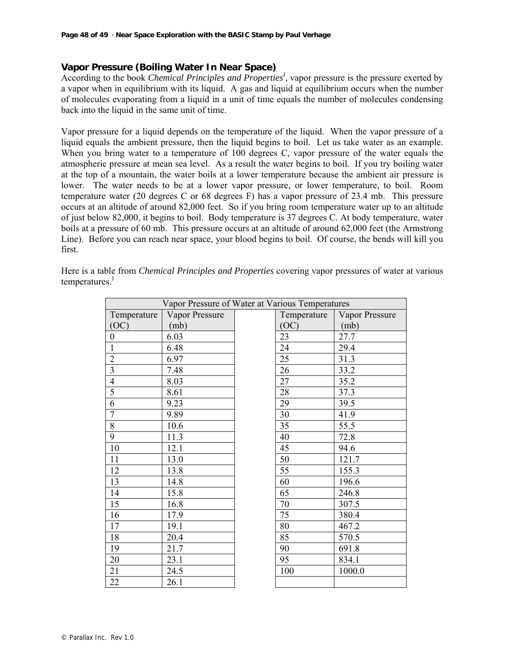# **Vapor Pressure (Boiling Water In Near Space)**

According to the book *Chemical Principles and Properties<sup>1</sup>*, vapor pressure is the pressure exerted by a vapor when in equilibrium with its liquid. A gas and liquid at equilibrium occurs when the number of molecules evaporating from a liquid in a unit of time equals the number of molecules condensing back into the liquid in the same unit of time.

Vapor pressure for a liquid depends on the temperature of the liquid. When the vapor pressure of a liquid equals the ambient pressure, then the liquid begins to boil. Let us take water as an example. When you bring water to a temperature of 100 degrees C, vapor pressure of the water equals the atmospheric pressure at mean sea level. As a result the water begins to boil. If you try boiling water at the top of a mountain, the water boils at a lower temperature because the ambient air pressure is lower. The water needs to be at a lower vapor pressure, or lower temperature, to boil. Room temperature water (20 degrees C or 68 degrees F) has a vapor pressure of 23.4 mb. This pressure occurs at an altitude of around 82,000 feet. So if you bring room temperature water up to an altitude of just below 82,000, it begins to boil. Body temperature is 37 degrees C. At body temperature, water boils at a pressure of 60 mb. This pressure occurs at an altitude of around 62,000 feet (the Armstrong Line). Before you can reach near space, your blood begins to boil. Of course, the bends will kill you first.

| Vapor Pressure of Water at Various Temperatures |                |  |             |                |
|-------------------------------------------------|----------------|--|-------------|----------------|
| Temperature                                     | Vapor Pressure |  | Temperature | Vapor Pressure |
| (OC)                                            | (mb)           |  | (OC)        | (mb)           |
| $\boldsymbol{0}$                                | 6.03           |  | 23          | 27.7           |
| $\mathbf{1}$                                    | 6.48           |  | 24          | 29.4           |
| $\overline{2}$                                  | 6.97           |  | 25          | 31.3           |
| $\overline{3}$                                  | 7.48           |  | 26          | 33.2           |
| $\overline{4}$                                  | 8.03           |  | 27          | 35.2           |
| $\overline{5}$                                  | 8.61           |  | 28          | 37.3           |
| $\overline{6}$                                  | 9.23           |  | 29          | 39.5           |
| $\overline{7}$                                  | 9.89           |  | 30          | 41.9           |
| $\overline{8}$                                  | 10.6           |  | 35          | 55.5           |
| 9                                               | 11.3           |  | 40          | 72.8           |
| 10                                              | 12.1           |  | 45          | 94.6           |
| $11\,$                                          | 13.0           |  | 50          | 121.7          |
| 12                                              | 13.8           |  | 55          | 155.3          |
| 13                                              | 14.8           |  | 60          | 196.6          |
| 14                                              | 15.8           |  | 65          | 246.8          |
| 15                                              | 16.8           |  | 70          | 307.5          |
| 16                                              | 17.9           |  | 75          | 380.4          |
| 17                                              | 19.1           |  | 80          | 467.2          |
| 18                                              | 20.4           |  | 85          | 570.5          |
| 19                                              | 21.7           |  | 90          | 691.8          |
| 20                                              | 23.1           |  | 95          | 834.1          |
| 21                                              | 24.5           |  | 100         | 1000.0         |
| 22                                              | 26.1           |  |             |                |

Here is a table from *Chemical Principles and Properties* covering vapor pressures of water at various temperatures.<sup>J</sup>